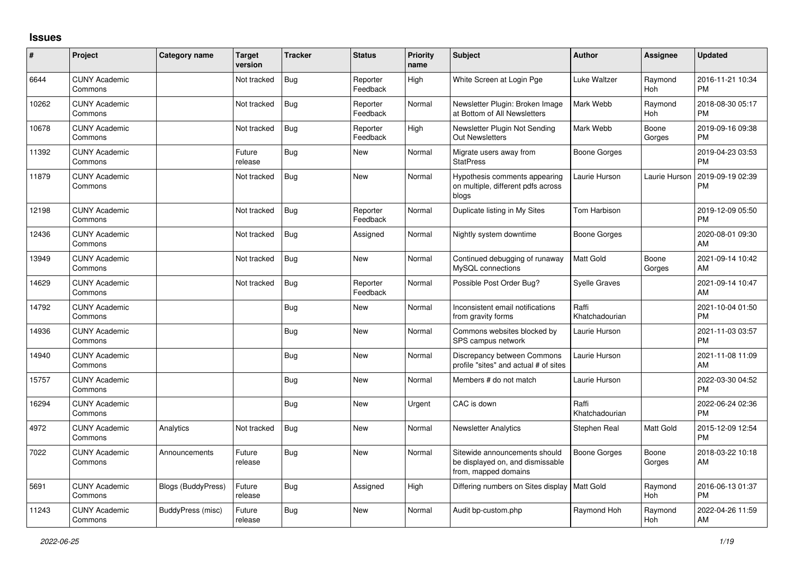## **Issues**

| #     | Project                         | Category name             | <b>Target</b><br>version | <b>Tracker</b> | <b>Status</b>        | <b>Priority</b><br>name | <b>Subject</b>                                                                            | <b>Author</b>           | <b>Assignee</b>       | <b>Updated</b>                |
|-------|---------------------------------|---------------------------|--------------------------|----------------|----------------------|-------------------------|-------------------------------------------------------------------------------------------|-------------------------|-----------------------|-------------------------------|
| 6644  | <b>CUNY Academic</b><br>Commons |                           | Not tracked              | <b>Bug</b>     | Reporter<br>Feedback | High                    | White Screen at Login Pge                                                                 | Luke Waltzer            | Raymond<br><b>Hoh</b> | 2016-11-21 10:34<br><b>PM</b> |
| 10262 | <b>CUNY Academic</b><br>Commons |                           | Not tracked              | <b>Bug</b>     | Reporter<br>Feedback | Normal                  | Newsletter Plugin: Broken Image<br>at Bottom of All Newsletters                           | Mark Webb               | Raymond<br><b>Hoh</b> | 2018-08-30 05:17<br><b>PM</b> |
| 10678 | <b>CUNY Academic</b><br>Commons |                           | Not tracked              | Bug            | Reporter<br>Feedback | High                    | Newsletter Plugin Not Sending<br><b>Out Newsletters</b>                                   | Mark Webb               | Boone<br>Gorges       | 2019-09-16 09:38<br><b>PM</b> |
| 11392 | <b>CUNY Academic</b><br>Commons |                           | Future<br>release        | Bug            | <b>New</b>           | Normal                  | Migrate users away from<br><b>StatPress</b>                                               | Boone Gorges            |                       | 2019-04-23 03:53<br><b>PM</b> |
| 11879 | <b>CUNY Academic</b><br>Commons |                           | Not tracked              | Bug            | <b>New</b>           | Normal                  | Hypothesis comments appearing<br>on multiple, different pdfs across<br>blogs              | Laurie Hurson           | Laurie Hurson         | 2019-09-19 02:39<br>PM        |
| 12198 | <b>CUNY Academic</b><br>Commons |                           | Not tracked              | Bug            | Reporter<br>Feedback | Normal                  | Duplicate listing in My Sites                                                             | Tom Harbison            |                       | 2019-12-09 05:50<br>PM        |
| 12436 | <b>CUNY Academic</b><br>Commons |                           | Not tracked              | Bug            | Assigned             | Normal                  | Nightly system downtime                                                                   | <b>Boone Gorges</b>     |                       | 2020-08-01 09:30<br>AM        |
| 13949 | <b>CUNY Academic</b><br>Commons |                           | Not tracked              | <b>Bug</b>     | <b>New</b>           | Normal                  | Continued debugging of runaway<br>MySQL connections                                       | Matt Gold               | Boone<br>Gorges       | 2021-09-14 10:42<br>AM        |
| 14629 | <b>CUNY Academic</b><br>Commons |                           | Not tracked              | Bug            | Reporter<br>Feedback | Normal                  | Possible Post Order Bug?                                                                  | Syelle Graves           |                       | 2021-09-14 10:47<br>AM        |
| 14792 | <b>CUNY Academic</b><br>Commons |                           |                          | Bug            | New                  | Normal                  | Inconsistent email notifications<br>from gravity forms                                    | Raffi<br>Khatchadourian |                       | 2021-10-04 01:50<br><b>PM</b> |
| 14936 | <b>CUNY Academic</b><br>Commons |                           |                          | Bug            | New                  | Normal                  | Commons websites blocked by<br>SPS campus network                                         | Laurie Hurson           |                       | 2021-11-03 03:57<br>PM        |
| 14940 | <b>CUNY Academic</b><br>Commons |                           |                          | <b>Bug</b>     | <b>New</b>           | Normal                  | Discrepancy between Commons<br>profile "sites" and actual # of sites                      | Laurie Hurson           |                       | 2021-11-08 11:09<br>AM        |
| 15757 | <b>CUNY Academic</b><br>Commons |                           |                          | Bug            | <b>New</b>           | Normal                  | Members # do not match                                                                    | Laurie Hurson           |                       | 2022-03-30 04:52<br><b>PM</b> |
| 16294 | <b>CUNY Academic</b><br>Commons |                           |                          | Bug            | New                  | Urgent                  | CAC is down                                                                               | Raffi<br>Khatchadourian |                       | 2022-06-24 02:36<br><b>PM</b> |
| 4972  | <b>CUNY Academic</b><br>Commons | Analytics                 | Not tracked              | Bug            | New                  | Normal                  | <b>Newsletter Analytics</b>                                                               | Stephen Real            | Matt Gold             | 2015-12-09 12:54<br><b>PM</b> |
| 7022  | <b>CUNY Academic</b><br>Commons | Announcements             | Future<br>release        | <b>Bug</b>     | <b>New</b>           | Normal                  | Sitewide announcements should<br>be displayed on, and dismissable<br>from, mapped domains | <b>Boone Gorges</b>     | Boone<br>Gorges       | 2018-03-22 10:18<br>AM        |
| 5691  | <b>CUNY Academic</b><br>Commons | <b>Blogs (BuddyPress)</b> | Future<br>release        | <b>Bug</b>     | Assigned             | High                    | Differing numbers on Sites display   Matt Gold                                            |                         | Raymond<br><b>Hoh</b> | 2016-06-13 01:37<br><b>PM</b> |
| 11243 | <b>CUNY Academic</b><br>Commons | <b>BuddyPress</b> (misc)  | Future<br>release        | Bug            | <b>New</b>           | Normal                  | Audit bp-custom.php                                                                       | Raymond Hoh             | Raymond<br>Hoh        | 2022-04-26 11:59<br>AM        |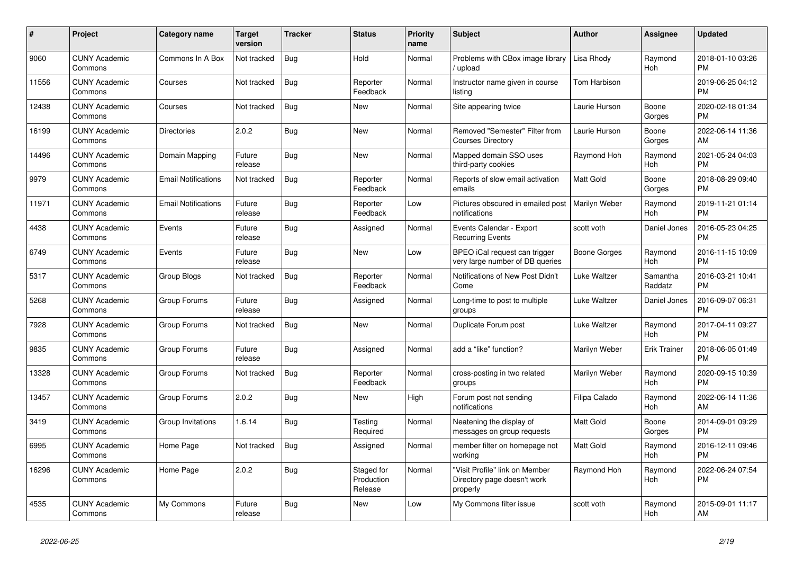| #     | Project                         | <b>Category name</b>       | Target<br>version | <b>Tracker</b> | <b>Status</b>                       | <b>Priority</b><br>name | <b>Subject</b>                                                            | <b>Author</b>        | <b>Assignee</b>     | <b>Updated</b>                |
|-------|---------------------------------|----------------------------|-------------------|----------------|-------------------------------------|-------------------------|---------------------------------------------------------------------------|----------------------|---------------------|-------------------------------|
| 9060  | <b>CUNY Academic</b><br>Commons | Commons In A Box           | Not tracked       | Bug            | Hold                                | Normal                  | Problems with CBox image library<br>upload                                | Lisa Rhody           | Raymond<br>Hoh      | 2018-01-10 03:26<br><b>PM</b> |
| 11556 | <b>CUNY Academic</b><br>Commons | Courses                    | Not tracked       | <b>Bug</b>     | Reporter<br>Feedback                | Normal                  | Instructor name given in course<br>listing                                | Tom Harbison         |                     | 2019-06-25 04:12<br><b>PM</b> |
| 12438 | <b>CUNY Academic</b><br>Commons | Courses                    | Not tracked       | Bug            | New                                 | Normal                  | Site appearing twice                                                      | Laurie Hurson        | Boone<br>Gorges     | 2020-02-18 01:34<br><b>PM</b> |
| 16199 | <b>CUNY Academic</b><br>Commons | <b>Directories</b>         | 2.0.2             | <b>Bug</b>     | <b>New</b>                          | Normal                  | Removed "Semester" Filter from<br><b>Courses Directory</b>                | Laurie Hurson        | Boone<br>Gorges     | 2022-06-14 11:36<br>AM        |
| 14496 | <b>CUNY Academic</b><br>Commons | Domain Mapping             | Future<br>release | <b>Bug</b>     | <b>New</b>                          | Normal                  | Mapped domain SSO uses<br>third-party cookies                             | Raymond Hoh          | Raymond<br>Hoh      | 2021-05-24 04:03<br><b>PM</b> |
| 9979  | <b>CUNY Academic</b><br>Commons | <b>Email Notifications</b> | Not tracked       | Bug            | Reporter<br>Feedback                | Normal                  | Reports of slow email activation<br>emails                                | <b>Matt Gold</b>     | Boone<br>Gorges     | 2018-08-29 09:40<br><b>PM</b> |
| 11971 | <b>CUNY Academic</b><br>Commons | <b>Email Notifications</b> | Future<br>release | <b>Bug</b>     | Reporter<br>Feedback                | Low                     | Pictures obscured in emailed post<br>notifications                        | <b>Marilyn Weber</b> | Raymond<br>Hoh      | 2019-11-21 01:14<br><b>PM</b> |
| 4438  | <b>CUNY Academic</b><br>Commons | Events                     | Future<br>release | Bug            | Assigned                            | Normal                  | Events Calendar - Export<br><b>Recurring Events</b>                       | scott voth           | Daniel Jones        | 2016-05-23 04:25<br><b>PM</b> |
| 6749  | <b>CUNY Academic</b><br>Commons | Events                     | Future<br>release | Bug            | <b>New</b>                          | Low                     | BPEO iCal request can trigger<br>very large number of DB queries          | Boone Gorges         | Raymond<br>Hoh      | 2016-11-15 10:09<br><b>PM</b> |
| 5317  | <b>CUNY Academic</b><br>Commons | Group Blogs                | Not tracked       | <b>Bug</b>     | Reporter<br>Feedback                | Normal                  | Notifications of New Post Didn't<br>Come                                  | Luke Waltzer         | Samantha<br>Raddatz | 2016-03-21 10:41<br><b>PM</b> |
| 5268  | <b>CUNY Academic</b><br>Commons | Group Forums               | Future<br>release | Bug            | Assigned                            | Normal                  | Long-time to post to multiple<br>groups                                   | Luke Waltzer         | Daniel Jones        | 2016-09-07 06:31<br><b>PM</b> |
| 7928  | <b>CUNY Academic</b><br>Commons | Group Forums               | Not tracked       | <b>Bug</b>     | <b>New</b>                          | Normal                  | Duplicate Forum post                                                      | Luke Waltzer         | Raymond<br>Hoh      | 2017-04-11 09:27<br><b>PM</b> |
| 9835  | <b>CUNY Academic</b><br>Commons | Group Forums               | Future<br>release | Bug            | Assigned                            | Normal                  | add a "like" function?                                                    | Marilyn Weber        | <b>Erik Trainer</b> | 2018-06-05 01:49<br><b>PM</b> |
| 13328 | <b>CUNY Academic</b><br>Commons | Group Forums               | Not tracked       | Bug            | Reporter<br>Feedback                | Normal                  | cross-posting in two related<br>groups                                    | Marilyn Weber        | Raymond<br>Hoh      | 2020-09-15 10:39<br><b>PM</b> |
| 13457 | <b>CUNY Academic</b><br>Commons | Group Forums               | 2.0.2             | <b>Bug</b>     | New                                 | High                    | Forum post not sending<br>notifications                                   | Filipa Calado        | Raymond<br>Hoh      | 2022-06-14 11:36<br>AM        |
| 3419  | <b>CUNY Academic</b><br>Commons | Group Invitations          | 1.6.14            | Bug            | Testing<br>Required                 | Normal                  | Neatening the display of<br>messages on group requests                    | <b>Matt Gold</b>     | Boone<br>Gorges     | 2014-09-01 09:29<br><b>PM</b> |
| 6995  | <b>CUNY Academic</b><br>Commons | Home Page                  | Not tracked       | Bug            | Assigned                            | Normal                  | member filter on homepage not<br>working                                  | Matt Gold            | Raymond<br>Hoh      | 2016-12-11 09:46<br><b>PM</b> |
| 16296 | <b>CUNY Academic</b><br>Commons | Home Page                  | 2.0.2             | <b>Bug</b>     | Staged for<br>Production<br>Release | Normal                  | "Visit Profile" link on Member<br>Directory page doesn't work<br>properly | Raymond Hoh          | Raymond<br>Hoh      | 2022-06-24 07:54<br><b>PM</b> |
| 4535  | <b>CUNY Academic</b><br>Commons | My Commons                 | Future<br>release | Bug            | <b>New</b>                          | Low                     | My Commons filter issue                                                   | scott voth           | Raymond<br>Hoh      | 2015-09-01 11:17<br>AM        |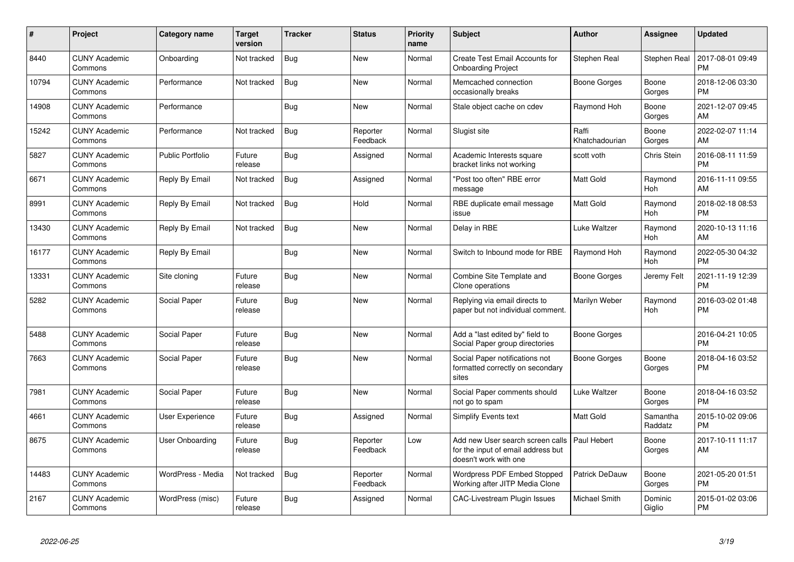| $\pmb{\#}$ | Project                         | <b>Category name</b>    | <b>Target</b><br>version | <b>Tracker</b> | <b>Status</b>        | <b>Priority</b><br>name | <b>Subject</b>                                                                                  | Author                  | <b>Assignee</b>       | <b>Updated</b>                |
|------------|---------------------------------|-------------------------|--------------------------|----------------|----------------------|-------------------------|-------------------------------------------------------------------------------------------------|-------------------------|-----------------------|-------------------------------|
| 8440       | <b>CUNY Academic</b><br>Commons | Onboarding              | Not tracked              | <b>Bug</b>     | <b>New</b>           | Normal                  | Create Test Email Accounts for<br><b>Onboarding Project</b>                                     | Stephen Real            | Stephen Real          | 2017-08-01 09:49<br><b>PM</b> |
| 10794      | <b>CUNY Academic</b><br>Commons | Performance             | Not tracked              | Bug            | <b>New</b>           | Normal                  | Memcached connection<br>occasionally breaks                                                     | Boone Gorges            | Boone<br>Gorges       | 2018-12-06 03:30<br>РM        |
| 14908      | <b>CUNY Academic</b><br>Commons | Performance             |                          | <b>Bug</b>     | New                  | Normal                  | Stale object cache on cdev                                                                      | Raymond Hoh             | Boone<br>Gorges       | 2021-12-07 09:45<br>AM        |
| 15242      | <b>CUNY Academic</b><br>Commons | Performance             | Not tracked              | <b>Bug</b>     | Reporter<br>Feedback | Normal                  | Slugist site                                                                                    | Raffi<br>Khatchadourian | Boone<br>Gorges       | 2022-02-07 11:14<br>AM        |
| 5827       | <b>CUNY Academic</b><br>Commons | <b>Public Portfolio</b> | Future<br>release        | Bug            | Assigned             | Normal                  | Academic Interests square<br>bracket links not working                                          | scott voth              | Chris Stein           | 2016-08-11 11:59<br>PM        |
| 6671       | <b>CUNY Academic</b><br>Commons | Reply By Email          | Not tracked              | <b>Bug</b>     | Assigned             | Normal                  | "Post too often" RBE error<br>message                                                           | Matt Gold               | Raymond<br>Hoh        | 2016-11-11 09:55<br>AM        |
| 8991       | <b>CUNY Academic</b><br>Commons | Reply By Email          | Not tracked              | Bug            | Hold                 | Normal                  | RBE duplicate email message<br>issue                                                            | Matt Gold               | Raymond<br><b>Hoh</b> | 2018-02-18 08:53<br><b>PM</b> |
| 13430      | <b>CUNY Academic</b><br>Commons | Reply By Email          | Not tracked              | <b>Bug</b>     | <b>New</b>           | Normal                  | Delay in RBE                                                                                    | <b>Luke Waltzer</b>     | Raymond<br>Hoh        | 2020-10-13 11:16<br>AM        |
| 16177      | <b>CUNY Academic</b><br>Commons | Reply By Email          |                          | <b>Bug</b>     | <b>New</b>           | Normal                  | Switch to Inbound mode for RBE                                                                  | Raymond Hoh             | Raymond<br>Hoh        | 2022-05-30 04:32<br><b>PM</b> |
| 13331      | <b>CUNY Academic</b><br>Commons | Site cloning            | Future<br>release        | <b>Bug</b>     | <b>New</b>           | Normal                  | Combine Site Template and<br>Clone operations                                                   | Boone Gorges            | Jeremy Felt           | 2021-11-19 12:39<br><b>PM</b> |
| 5282       | <b>CUNY Academic</b><br>Commons | Social Paper            | Future<br>release        | <b>Bug</b>     | <b>New</b>           | Normal                  | Replying via email directs to<br>paper but not individual comment.                              | Marilyn Weber           | Raymond<br>Hoh        | 2016-03-02 01:48<br><b>PM</b> |
| 5488       | <b>CUNY Academic</b><br>Commons | Social Paper            | Future<br>release        | Bug            | <b>New</b>           | Normal                  | Add a "last edited by" field to<br>Social Paper group directories                               | <b>Boone Gorges</b>     |                       | 2016-04-21 10:05<br><b>PM</b> |
| 7663       | <b>CUNY Academic</b><br>Commons | Social Paper            | Future<br>release        | Bug            | New                  | Normal                  | Social Paper notifications not<br>formatted correctly on secondary<br>sites                     | <b>Boone Gorges</b>     | Boone<br>Gorges       | 2018-04-16 03:52<br><b>PM</b> |
| 7981       | <b>CUNY Academic</b><br>Commons | Social Paper            | Future<br>release        | <b>Bug</b>     | New                  | Normal                  | Social Paper comments should<br>not go to spam                                                  | Luke Waltzer            | Boone<br>Gorges       | 2018-04-16 03:52<br><b>PM</b> |
| 4661       | <b>CUNY Academic</b><br>Commons | User Experience         | Future<br>release        | <b>Bug</b>     | Assigned             | Normal                  | <b>Simplify Events text</b>                                                                     | Matt Gold               | Samantha<br>Raddatz   | 2015-10-02 09:06<br><b>PM</b> |
| 8675       | <b>CUNY Academic</b><br>Commons | User Onboarding         | Future<br>release        | Bug            | Reporter<br>Feedback | Low                     | Add new User search screen calls<br>for the input of email address but<br>doesn't work with one | Paul Hebert             | Boone<br>Gorges       | 2017-10-11 11:17<br>AM        |
| 14483      | <b>CUNY Academic</b><br>Commons | WordPress - Media       | Not tracked              | <b>Bug</b>     | Reporter<br>Feedback | Normal                  | <b>Wordpress PDF Embed Stopped</b><br>Working after JITP Media Clone                            | <b>Patrick DeDauw</b>   | Boone<br>Gorges       | 2021-05-20 01:51<br><b>PM</b> |
| 2167       | <b>CUNY Academic</b><br>Commons | WordPress (misc)        | Future<br>release        | Bug            | Assigned             | Normal                  | <b>CAC-Livestream Plugin Issues</b>                                                             | Michael Smith           | Dominic<br>Giglio     | 2015-01-02 03:06<br>PM        |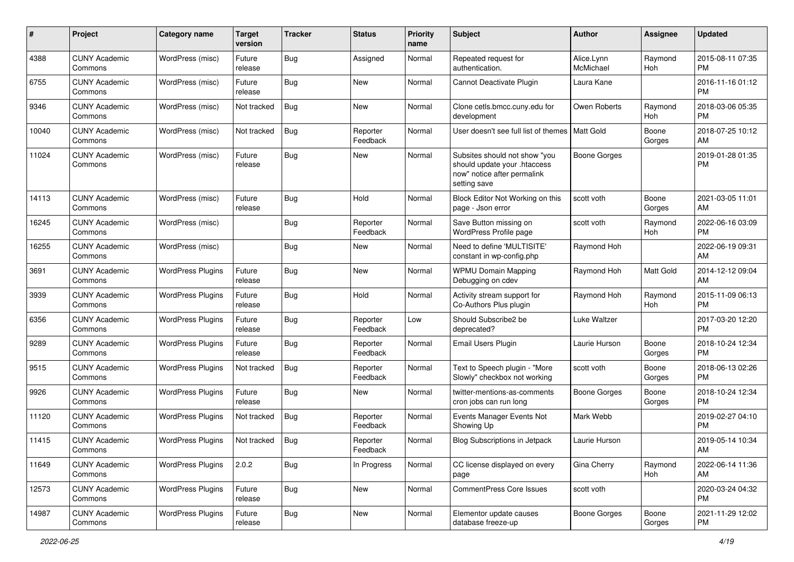| #     | Project                         | <b>Category name</b>     | <b>Target</b><br>version | <b>Tracker</b> | <b>Status</b>        | <b>Priority</b><br>name | Subject                                                                                                      | <b>Author</b>           | Assignee         | <b>Updated</b>                |
|-------|---------------------------------|--------------------------|--------------------------|----------------|----------------------|-------------------------|--------------------------------------------------------------------------------------------------------------|-------------------------|------------------|-------------------------------|
| 4388  | <b>CUNY Academic</b><br>Commons | WordPress (misc)         | Future<br>release        | <b>Bug</b>     | Assigned             | Normal                  | Repeated request for<br>authentication.                                                                      | Alice.Lynn<br>McMichael | Raymond<br>Hoh   | 2015-08-11 07:35<br><b>PM</b> |
| 6755  | <b>CUNY Academic</b><br>Commons | WordPress (misc)         | Future<br>release        | Bug            | <b>New</b>           | Normal                  | Cannot Deactivate Plugin                                                                                     | Laura Kane              |                  | 2016-11-16 01:12<br><b>PM</b> |
| 9346  | <b>CUNY Academic</b><br>Commons | WordPress (misc)         | Not tracked              | Bug            | <b>New</b>           | Normal                  | Clone cetls.bmcc.cuny.edu for<br>development                                                                 | Owen Roberts            | Raymond<br>Hoh   | 2018-03-06 05:35<br><b>PM</b> |
| 10040 | <b>CUNY Academic</b><br>Commons | WordPress (misc)         | Not tracked              | Bug            | Reporter<br>Feedback | Normal                  | User doesn't see full list of themes                                                                         | <b>Matt Gold</b>        | Boone<br>Gorges  | 2018-07-25 10:12<br>AM        |
| 11024 | <b>CUNY Academic</b><br>Commons | WordPress (misc)         | Future<br>release        | <b>Bug</b>     | <b>New</b>           | Normal                  | Subsites should not show "you<br>should update your .htaccess<br>now" notice after permalink<br>setting save | <b>Boone Gorges</b>     |                  | 2019-01-28 01:35<br><b>PM</b> |
| 14113 | <b>CUNY Academic</b><br>Commons | WordPress (misc)         | Future<br>release        | Bug            | Hold                 | Normal                  | Block Editor Not Working on this<br>page - Json error                                                        | scott voth              | Boone<br>Gorges  | 2021-03-05 11:01<br>AM        |
| 16245 | <b>CUNY Academic</b><br>Commons | WordPress (misc)         |                          | <b>Bug</b>     | Reporter<br>Feedback | Normal                  | Save Button missing on<br>WordPress Profile page                                                             | scott voth              | Raymond<br>Hoh   | 2022-06-16 03:09<br><b>PM</b> |
| 16255 | <b>CUNY Academic</b><br>Commons | WordPress (misc)         |                          | <b>Bug</b>     | New                  | Normal                  | Need to define 'MULTISITE'<br>constant in wp-config.php                                                      | Raymond Hoh             |                  | 2022-06-19 09:31<br>AM        |
| 3691  | <b>CUNY Academic</b><br>Commons | <b>WordPress Plugins</b> | Future<br>release        | Bug            | <b>New</b>           | Normal                  | <b>WPMU Domain Mapping</b><br>Debugging on cdev                                                              | Raymond Hoh             | <b>Matt Gold</b> | 2014-12-12 09:04<br>AM        |
| 3939  | <b>CUNY Academic</b><br>Commons | <b>WordPress Plugins</b> | Future<br>release        | <b>Bug</b>     | Hold                 | Normal                  | Activity stream support for<br>Co-Authors Plus plugin                                                        | Raymond Hoh             | Raymond<br>Hoh   | 2015-11-09 06:13<br><b>PM</b> |
| 6356  | <b>CUNY Academic</b><br>Commons | <b>WordPress Plugins</b> | Future<br>release        | Bug            | Reporter<br>Feedback | Low                     | Should Subscribe2 be<br>deprecated?                                                                          | Luke Waltzer            |                  | 2017-03-20 12:20<br><b>PM</b> |
| 9289  | <b>CUNY Academic</b><br>Commons | <b>WordPress Plugins</b> | Future<br>release        | Bug            | Reporter<br>Feedback | Normal                  | Email Users Plugin                                                                                           | Laurie Hurson           | Boone<br>Gorges  | 2018-10-24 12:34<br><b>PM</b> |
| 9515  | <b>CUNY Academic</b><br>Commons | <b>WordPress Plugins</b> | Not tracked              | Bug            | Reporter<br>Feedback | Normal                  | Text to Speech plugin - "More<br>Slowly" checkbox not working                                                | scott voth              | Boone<br>Gorges  | 2018-06-13 02:26<br><b>PM</b> |
| 9926  | <b>CUNY Academic</b><br>Commons | <b>WordPress Plugins</b> | Future<br>release        | Bug            | <b>New</b>           | Normal                  | twitter-mentions-as-comments<br>cron jobs can run long                                                       | <b>Boone Gorges</b>     | Boone<br>Gorges  | 2018-10-24 12:34<br><b>PM</b> |
| 11120 | <b>CUNY Academic</b><br>Commons | <b>WordPress Plugins</b> | Not tracked              | <b>Bug</b>     | Reporter<br>Feedback | Normal                  | Events Manager Events Not<br>Showing Up                                                                      | Mark Webb               |                  | 2019-02-27 04:10<br><b>PM</b> |
| 11415 | <b>CUNY Academic</b><br>Commons | <b>WordPress Plugins</b> | Not tracked              | <b>Bug</b>     | Reporter<br>Feedback | Normal                  | <b>Blog Subscriptions in Jetpack</b>                                                                         | Laurie Hurson           |                  | 2019-05-14 10:34<br>AM        |
| 11649 | <b>CUNY Academic</b><br>Commons | <b>WordPress Plugins</b> | 2.0.2                    | Bug            | In Progress          | Normal                  | CC license displayed on every<br>page                                                                        | Gina Cherry             | Raymond<br>Hoh   | 2022-06-14 11:36<br>AM        |
| 12573 | <b>CUNY Academic</b><br>Commons | <b>WordPress Plugins</b> | Future<br>release        | <b>Bug</b>     | New                  | Normal                  | <b>CommentPress Core Issues</b>                                                                              | scott voth              |                  | 2020-03-24 04:32<br><b>PM</b> |
| 14987 | <b>CUNY Academic</b><br>Commons | <b>WordPress Plugins</b> | Future<br>release        | <b>Bug</b>     | New                  | Normal                  | Elementor update causes<br>database freeze-up                                                                | <b>Boone Gorges</b>     | Boone<br>Gorges  | 2021-11-29 12:02<br>PM        |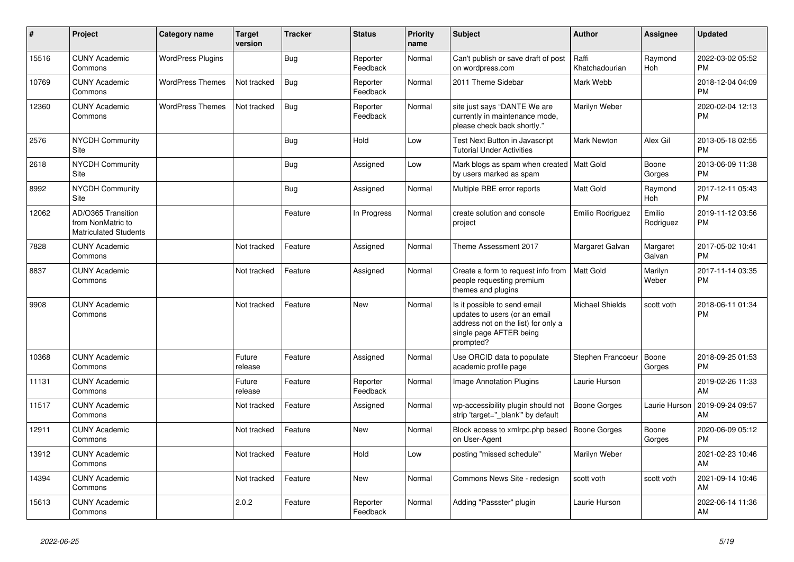| #     | <b>Project</b>                                                          | Category name            | <b>Target</b><br>version | Tracker    | <b>Status</b>        | <b>Priority</b><br>name | <b>Subject</b>                                                                                                                               | <b>Author</b>           | <b>Assignee</b>     | <b>Updated</b>                |
|-------|-------------------------------------------------------------------------|--------------------------|--------------------------|------------|----------------------|-------------------------|----------------------------------------------------------------------------------------------------------------------------------------------|-------------------------|---------------------|-------------------------------|
| 15516 | <b>CUNY Academic</b><br>Commons                                         | <b>WordPress Plugins</b> |                          | <b>Bug</b> | Reporter<br>Feedback | Normal                  | Can't publish or save draft of post<br>on wordpress.com                                                                                      | Raffi<br>Khatchadourian | Raymond<br>Hoh      | 2022-03-02 05:52<br><b>PM</b> |
| 10769 | <b>CUNY Academic</b><br>Commons                                         | <b>WordPress Themes</b>  | Not tracked              | <b>Bug</b> | Reporter<br>Feedback | Normal                  | 2011 Theme Sidebar                                                                                                                           | Mark Webb               |                     | 2018-12-04 04:09<br><b>PM</b> |
| 12360 | <b>CUNY Academic</b><br>Commons                                         | <b>WordPress Themes</b>  | Not tracked              | <b>Bug</b> | Reporter<br>Feedback | Normal                  | site just says "DANTE We are<br>currently in maintenance mode,<br>please check back shortly."                                                | Marilyn Weber           |                     | 2020-02-04 12:13<br><b>PM</b> |
| 2576  | <b>NYCDH Community</b><br>Site                                          |                          |                          | <b>Bug</b> | Hold                 | Low                     | Test Next Button in Javascript<br><b>Tutorial Under Activities</b>                                                                           | <b>Mark Newton</b>      | Alex Gil            | 2013-05-18 02:55<br><b>PM</b> |
| 2618  | <b>NYCDH Community</b><br>Site                                          |                          |                          | <b>Bug</b> | Assigned             | Low                     | Mark blogs as spam when created   Matt Gold<br>by users marked as spam                                                                       |                         | Boone<br>Gorges     | 2013-06-09 11:38<br><b>PM</b> |
| 8992  | NYCDH Community<br>Site                                                 |                          |                          | <b>Bug</b> | Assigned             | Normal                  | Multiple RBE error reports                                                                                                                   | Matt Gold               | Raymond<br>Hoh      | 2017-12-11 05:43<br><b>PM</b> |
| 12062 | AD/O365 Transition<br>from NonMatric to<br><b>Matriculated Students</b> |                          |                          | Feature    | In Progress          | Normal                  | create solution and console<br>project                                                                                                       | Emilio Rodriguez        | Emilio<br>Rodriguez | 2019-11-12 03:56<br><b>PM</b> |
| 7828  | <b>CUNY Academic</b><br>Commons                                         |                          | Not tracked              | Feature    | Assigned             | Normal                  | Theme Assessment 2017                                                                                                                        | Margaret Galvan         | Margaret<br>Galvan  | 2017-05-02 10:41<br><b>PM</b> |
| 8837  | <b>CUNY Academic</b><br>Commons                                         |                          | Not tracked              | Feature    | Assigned             | Normal                  | Create a form to request info from<br>people requesting premium<br>themes and plugins                                                        | <b>Matt Gold</b>        | Marilyn<br>Weber    | 2017-11-14 03:35<br><b>PM</b> |
| 9908  | <b>CUNY Academic</b><br>Commons                                         |                          | Not tracked              | Feature    | <b>New</b>           | Normal                  | Is it possible to send email<br>updates to users (or an email<br>address not on the list) for only a<br>single page AFTER being<br>prompted? | Michael Shields         | scott voth          | 2018-06-11 01:34<br><b>PM</b> |
| 10368 | <b>CUNY Academic</b><br>Commons                                         |                          | Future<br>release        | Feature    | Assigned             | Normal                  | Use ORCID data to populate<br>academic profile page                                                                                          | Stephen Francoeur       | Boone<br>Gorges     | 2018-09-25 01:53<br><b>PM</b> |
| 11131 | <b>CUNY Academic</b><br>Commons                                         |                          | Future<br>release        | Feature    | Reporter<br>Feedback | Normal                  | <b>Image Annotation Plugins</b>                                                                                                              | Laurie Hurson           |                     | 2019-02-26 11:33<br>AM        |
| 11517 | <b>CUNY Academic</b><br>Commons                                         |                          | Not tracked              | Feature    | Assigned             | Normal                  | wp-accessibility plugin should not<br>strip 'target=" blank" by default                                                                      | <b>Boone Gorges</b>     | Laurie Hurson       | 2019-09-24 09:57<br>AM        |
| 12911 | <b>CUNY Academic</b><br>Commons                                         |                          | Not tracked              | Feature    | New                  | Normal                  | Block access to xmlrpc.php based<br>on User-Agent                                                                                            | <b>Boone Gorges</b>     | Boone<br>Gorges     | 2020-06-09 05:12<br><b>PM</b> |
| 13912 | <b>CUNY Academic</b><br>Commons                                         |                          | Not tracked              | Feature    | Hold                 | Low                     | posting "missed schedule"                                                                                                                    | Marilyn Weber           |                     | 2021-02-23 10:46<br>AM        |
| 14394 | <b>CUNY Academic</b><br>Commons                                         |                          | Not tracked              | Feature    | <b>New</b>           | Normal                  | Commons News Site - redesign                                                                                                                 | scott voth              | scott voth          | 2021-09-14 10:46<br>AM        |
| 15613 | <b>CUNY Academic</b><br>Commons                                         |                          | 2.0.2                    | Feature    | Reporter<br>Feedback | Normal                  | Adding "Passster" plugin                                                                                                                     | Laurie Hurson           |                     | 2022-06-14 11:36<br>AM        |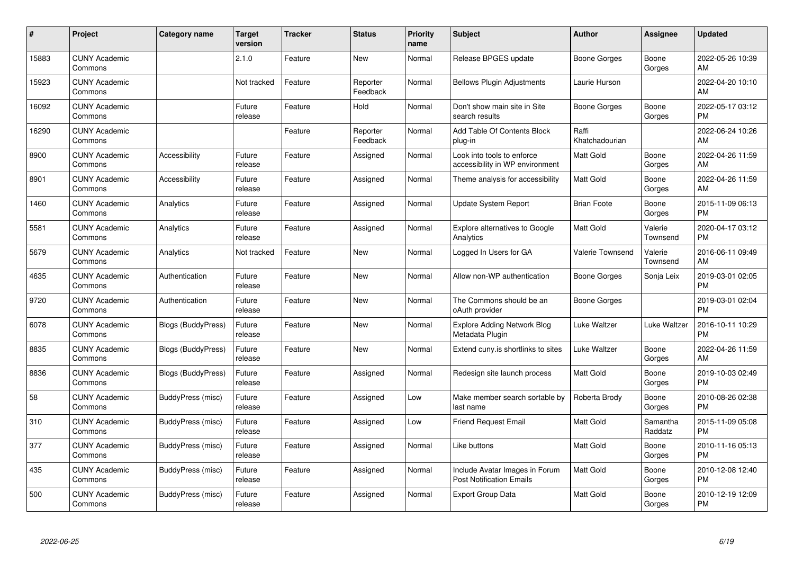| #     | Project                         | <b>Category name</b>      | Target<br>version | <b>Tracker</b> | <b>Status</b>        | <b>Priority</b><br>name | <b>Subject</b>                                                    | <b>Author</b>           | <b>Assignee</b>     | <b>Updated</b>                |
|-------|---------------------------------|---------------------------|-------------------|----------------|----------------------|-------------------------|-------------------------------------------------------------------|-------------------------|---------------------|-------------------------------|
| 15883 | <b>CUNY Academic</b><br>Commons |                           | 2.1.0             | Feature        | <b>New</b>           | Normal                  | Release BPGES update                                              | Boone Gorges            | Boone<br>Gorges     | 2022-05-26 10:39<br>AM        |
| 15923 | <b>CUNY Academic</b><br>Commons |                           | Not tracked       | Feature        | Reporter<br>Feedback | Normal                  | <b>Bellows Plugin Adjustments</b>                                 | Laurie Hurson           |                     | 2022-04-20 10:10<br>AM        |
| 16092 | <b>CUNY Academic</b><br>Commons |                           | Future<br>release | Feature        | Hold                 | Normal                  | Don't show main site in Site<br>search results                    | Boone Gorges            | Boone<br>Gorges     | 2022-05-17 03:12<br><b>PM</b> |
| 16290 | <b>CUNY Academic</b><br>Commons |                           |                   | Feature        | Reporter<br>Feedback | Normal                  | Add Table Of Contents Block<br>plug-in                            | Raffi<br>Khatchadourian |                     | 2022-06-24 10:26<br>AM        |
| 8900  | <b>CUNY Academic</b><br>Commons | Accessibility             | Future<br>release | Feature        | Assigned             | Normal                  | Look into tools to enforce<br>accessibility in WP environment     | <b>Matt Gold</b>        | Boone<br>Gorges     | 2022-04-26 11:59<br>AM        |
| 8901  | <b>CUNY Academic</b><br>Commons | Accessibility             | Future<br>release | Feature        | Assigned             | Normal                  | Theme analysis for accessibility                                  | Matt Gold               | Boone<br>Gorges     | 2022-04-26 11:59<br>AM        |
| 1460  | <b>CUNY Academic</b><br>Commons | Analytics                 | Future<br>release | Feature        | Assigned             | Normal                  | Update System Report                                              | <b>Brian Foote</b>      | Boone<br>Gorges     | 2015-11-09 06:13<br><b>PM</b> |
| 5581  | <b>CUNY Academic</b><br>Commons | Analytics                 | Future<br>release | Feature        | Assigned             | Normal                  | Explore alternatives to Google<br>Analytics                       | Matt Gold               | Valerie<br>Townsend | 2020-04-17 03:12<br><b>PM</b> |
| 5679  | <b>CUNY Academic</b><br>Commons | Analytics                 | Not tracked       | Feature        | New                  | Normal                  | Logged In Users for GA                                            | Valerie Townsend        | Valerie<br>Townsend | 2016-06-11 09:49<br>AM        |
| 4635  | <b>CUNY Academic</b><br>Commons | Authentication            | Future<br>release | Feature        | <b>New</b>           | Normal                  | Allow non-WP authentication                                       | Boone Gorges            | Sonja Leix          | 2019-03-01 02:05<br><b>PM</b> |
| 9720  | <b>CUNY Academic</b><br>Commons | Authentication            | Future<br>release | Feature        | New                  | Normal                  | The Commons should be an<br>oAuth provider                        | Boone Gorges            |                     | 2019-03-01 02:04<br><b>PM</b> |
| 6078  | <b>CUNY Academic</b><br>Commons | <b>Blogs (BuddyPress)</b> | Future<br>release | Feature        | New                  | Normal                  | <b>Explore Adding Network Blog</b><br>Metadata Plugin             | Luke Waltzer            | Luke Waltzer        | 2016-10-11 10:29<br><b>PM</b> |
| 8835  | <b>CUNY Academic</b><br>Commons | <b>Blogs (BuddyPress)</b> | Future<br>release | Feature        | <b>New</b>           | Normal                  | Extend cuny is shortlinks to sites                                | Luke Waltzer            | Boone<br>Gorges     | 2022-04-26 11:59<br>AM        |
| 8836  | <b>CUNY Academic</b><br>Commons | <b>Blogs (BuddyPress)</b> | Future<br>release | Feature        | Assigned             | Normal                  | Redesign site launch process                                      | Matt Gold               | Boone<br>Gorges     | 2019-10-03 02:49<br><b>PM</b> |
| 58    | <b>CUNY Academic</b><br>Commons | BuddyPress (misc)         | Future<br>release | Feature        | Assigned             | Low                     | Make member search sortable by<br>last name                       | Roberta Brody           | Boone<br>Gorges     | 2010-08-26 02:38<br><b>PM</b> |
| 310   | <b>CUNY Academic</b><br>Commons | BuddyPress (misc)         | Future<br>release | Feature        | Assigned             | Low                     | <b>Friend Request Email</b>                                       | Matt Gold               | Samantha<br>Raddatz | 2015-11-09 05:08<br><b>PM</b> |
| 377   | <b>CUNY Academic</b><br>Commons | BuddyPress (misc)         | Future<br>release | Feature        | Assigned             | Normal                  | Like buttons                                                      | Matt Gold               | Boone<br>Gorges     | 2010-11-16 05:13<br><b>PM</b> |
| 435   | <b>CUNY Academic</b><br>Commons | BuddyPress (misc)         | Future<br>release | Feature        | Assigned             | Normal                  | Include Avatar Images in Forum<br><b>Post Notification Emails</b> | Matt Gold               | Boone<br>Gorges     | 2010-12-08 12:40<br><b>PM</b> |
| 500   | <b>CUNY Academic</b><br>Commons | BuddyPress (misc)         | Future<br>release | Feature        | Assigned             | Normal                  | <b>Export Group Data</b>                                          | <b>Matt Gold</b>        | Boone<br>Gorges     | 2010-12-19 12:09<br>PM        |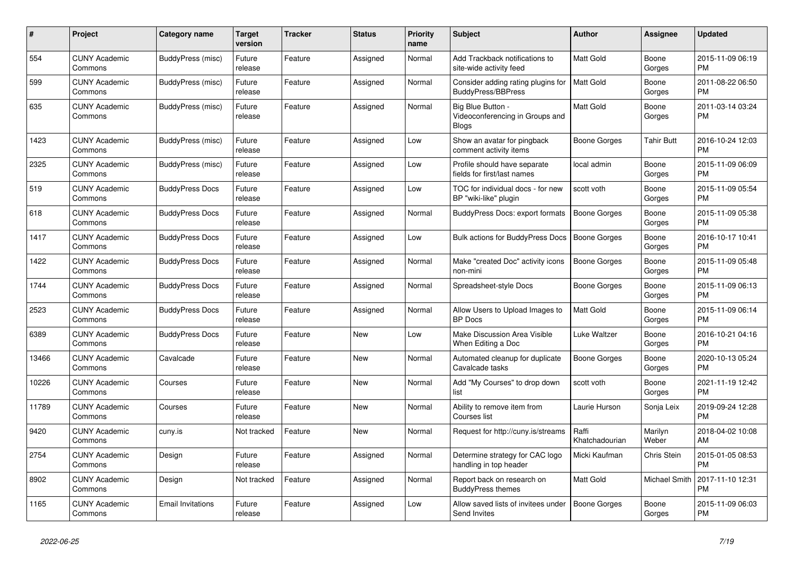| $\#$  | <b>Project</b>                  | Category name            | <b>Target</b><br>version | <b>Tracker</b> | <b>Status</b> | <b>Priority</b><br>name | <b>Subject</b>                                                       | <b>Author</b>           | <b>Assignee</b>   | <b>Updated</b>                |
|-------|---------------------------------|--------------------------|--------------------------|----------------|---------------|-------------------------|----------------------------------------------------------------------|-------------------------|-------------------|-------------------------------|
| 554   | <b>CUNY Academic</b><br>Commons | BuddyPress (misc)        | Future<br>release        | Feature        | Assigned      | Normal                  | Add Trackback notifications to<br>site-wide activity feed            | <b>Matt Gold</b>        | Boone<br>Gorges   | 2015-11-09 06:19<br><b>PM</b> |
| 599   | <b>CUNY Academic</b><br>Commons | BuddyPress (misc)        | Future<br>release        | Feature        | Assigned      | Normal                  | Consider adding rating plugins for<br>BuddyPress/BBPress             | <b>Matt Gold</b>        | Boone<br>Gorges   | 2011-08-22 06:50<br><b>PM</b> |
| 635   | <b>CUNY Academic</b><br>Commons | BuddyPress (misc)        | Future<br>release        | Feature        | Assigned      | Normal                  | Big Blue Button -<br>Videoconferencing in Groups and<br><b>Blogs</b> | Matt Gold               | Boone<br>Gorges   | 2011-03-14 03:24<br><b>PM</b> |
| 1423  | <b>CUNY Academic</b><br>Commons | BuddyPress (misc)        | Future<br>release        | Feature        | Assigned      | Low                     | Show an avatar for pingback<br>comment activity items                | Boone Gorges            | <b>Tahir Butt</b> | 2016-10-24 12:03<br><b>PM</b> |
| 2325  | <b>CUNY Academic</b><br>Commons | BuddyPress (misc)        | Future<br>release        | Feature        | Assigned      | Low                     | Profile should have separate<br>fields for first/last names          | local admin             | Boone<br>Gorges   | 2015-11-09 06:09<br><b>PM</b> |
| 519   | <b>CUNY Academic</b><br>Commons | <b>BuddyPress Docs</b>   | Future<br>release        | Feature        | Assigned      | Low                     | TOC for individual docs - for new<br>BP "wiki-like" plugin           | scott voth              | Boone<br>Gorges   | 2015-11-09 05:54<br><b>PM</b> |
| 618   | <b>CUNY Academic</b><br>Commons | <b>BuddyPress Docs</b>   | Future<br>release        | Feature        | Assigned      | Normal                  | BuddyPress Docs: export formats                                      | <b>Boone Gorges</b>     | Boone<br>Gorges   | 2015-11-09 05:38<br><b>PM</b> |
| 1417  | <b>CUNY Academic</b><br>Commons | <b>BuddyPress Docs</b>   | Future<br>release        | Feature        | Assigned      | Low                     | Bulk actions for BuddyPress Docs                                     | <b>Boone Gorges</b>     | Boone<br>Gorges   | 2016-10-17 10:41<br><b>PM</b> |
| 1422  | <b>CUNY Academic</b><br>Commons | <b>BuddyPress Docs</b>   | Future<br>release        | Feature        | Assigned      | Normal                  | Make "created Doc" activity icons<br>non-mini                        | <b>Boone Gorges</b>     | Boone<br>Gorges   | 2015-11-09 05:48<br><b>PM</b> |
| 1744  | <b>CUNY Academic</b><br>Commons | <b>BuddyPress Docs</b>   | Future<br>release        | Feature        | Assigned      | Normal                  | Spreadsheet-style Docs                                               | Boone Gorges            | Boone<br>Gorges   | 2015-11-09 06:13<br><b>PM</b> |
| 2523  | <b>CUNY Academic</b><br>Commons | <b>BuddyPress Docs</b>   | Future<br>release        | Feature        | Assigned      | Normal                  | Allow Users to Upload Images to<br><b>BP</b> Docs                    | Matt Gold               | Boone<br>Gorges   | 2015-11-09 06:14<br><b>PM</b> |
| 6389  | <b>CUNY Academic</b><br>Commons | <b>BuddyPress Docs</b>   | Future<br>release        | Feature        | New           | Low                     | Make Discussion Area Visible<br>When Editing a Doc                   | Luke Waltzer            | Boone<br>Gorges   | 2016-10-21 04:16<br><b>PM</b> |
| 13466 | <b>CUNY Academic</b><br>Commons | Cavalcade                | Future<br>release        | Feature        | <b>New</b>    | Normal                  | Automated cleanup for duplicate<br>Cavalcade tasks                   | <b>Boone Gorges</b>     | Boone<br>Gorges   | 2020-10-13 05:24<br><b>PM</b> |
| 10226 | <b>CUNY Academic</b><br>Commons | Courses                  | Future<br>release        | Feature        | <b>New</b>    | Normal                  | Add "My Courses" to drop down<br>list                                | scott voth              | Boone<br>Gorges   | 2021-11-19 12:42<br><b>PM</b> |
| 11789 | <b>CUNY Academic</b><br>Commons | Courses                  | Future<br>release        | Feature        | New           | Normal                  | Ability to remove item from<br>Courses list                          | Laurie Hurson           | Sonja Leix        | 2019-09-24 12:28<br><b>PM</b> |
| 9420  | <b>CUNY Academic</b><br>Commons | cuny.is                  | Not tracked              | Feature        | <b>New</b>    | Normal                  | Request for http://cuny.is/streams                                   | Raffi<br>Khatchadourian | Marilyn<br>Weber  | 2018-04-02 10:08<br>AM        |
| 2754  | <b>CUNY Academic</b><br>Commons | Design                   | Future<br>release        | Feature        | Assigned      | Normal                  | Determine strategy for CAC logo<br>handling in top header            | Micki Kaufman           | Chris Stein       | 2015-01-05 08:53<br><b>PM</b> |
| 8902  | <b>CUNY Academic</b><br>Commons | Design                   | Not tracked              | Feature        | Assigned      | Normal                  | Report back on research on<br><b>BuddyPress themes</b>               | <b>Matt Gold</b>        | Michael Smith     | 2017-11-10 12:31<br><b>PM</b> |
| 1165  | <b>CUNY Academic</b><br>Commons | <b>Email Invitations</b> | Future<br>release        | Feature        | Assigned      | Low                     | Allow saved lists of invitees under<br>Send Invites                  | Boone Gorges            | Boone<br>Gorges   | 2015-11-09 06:03<br>PM        |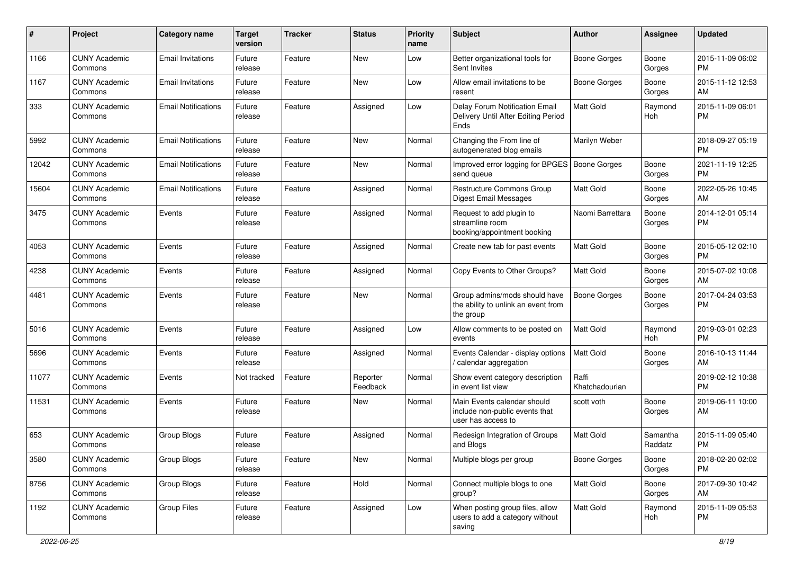| #     | Project                         | <b>Category name</b>       | <b>Target</b><br>version | <b>Tracker</b> | <b>Status</b>        | <b>Priority</b><br>name | <b>Subject</b>                                                                       | Author                  | Assignee            | <b>Updated</b>                |
|-------|---------------------------------|----------------------------|--------------------------|----------------|----------------------|-------------------------|--------------------------------------------------------------------------------------|-------------------------|---------------------|-------------------------------|
| 1166  | <b>CUNY Academic</b><br>Commons | <b>Email Invitations</b>   | Future<br>release        | Feature        | <b>New</b>           | Low                     | Better organizational tools for<br>Sent Invites                                      | <b>Boone Gorges</b>     | Boone<br>Gorges     | 2015-11-09 06:02<br><b>PM</b> |
| 1167  | <b>CUNY Academic</b><br>Commons | <b>Email Invitations</b>   | Future<br>release        | Feature        | <b>New</b>           | Low                     | Allow email invitations to be<br>resent                                              | <b>Boone Gorges</b>     | Boone<br>Gorges     | 2015-11-12 12:53<br>AM        |
| 333   | <b>CUNY Academic</b><br>Commons | <b>Email Notifications</b> | Future<br>release        | Feature        | Assigned             | Low                     | Delay Forum Notification Email<br>Delivery Until After Editing Period<br><b>Ends</b> | Matt Gold               | Raymond<br>Hoh      | 2015-11-09 06:01<br><b>PM</b> |
| 5992  | <b>CUNY Academic</b><br>Commons | <b>Email Notifications</b> | Future<br>release        | Feature        | <b>New</b>           | Normal                  | Changing the From line of<br>autogenerated blog emails                               | Marilyn Weber           |                     | 2018-09-27 05:19<br><b>PM</b> |
| 12042 | <b>CUNY Academic</b><br>Commons | <b>Email Notifications</b> | Future<br>release        | Feature        | <b>New</b>           | Normal                  | Improved error logging for BPGES<br>send queue                                       | <b>Boone Gorges</b>     | Boone<br>Gorges     | 2021-11-19 12:25<br><b>PM</b> |
| 15604 | <b>CUNY Academic</b><br>Commons | <b>Email Notifications</b> | Future<br>release        | Feature        | Assigned             | Normal                  | <b>Restructure Commons Group</b><br><b>Digest Email Messages</b>                     | Matt Gold               | Boone<br>Gorges     | 2022-05-26 10:45<br>AM        |
| 3475  | <b>CUNY Academic</b><br>Commons | Events                     | Future<br>release        | Feature        | Assigned             | Normal                  | Request to add plugin to<br>streamline room<br>booking/appointment booking           | Naomi Barrettara        | Boone<br>Gorges     | 2014-12-01 05:14<br><b>PM</b> |
| 4053  | <b>CUNY Academic</b><br>Commons | Events                     | Future<br>release        | Feature        | Assigned             | Normal                  | Create new tab for past events                                                       | <b>Matt Gold</b>        | Boone<br>Gorges     | 2015-05-12 02:10<br><b>PM</b> |
| 4238  | <b>CUNY Academic</b><br>Commons | Events                     | Future<br>release        | Feature        | Assigned             | Normal                  | Copy Events to Other Groups?                                                         | Matt Gold               | Boone<br>Gorges     | 2015-07-02 10:08<br>AM        |
| 4481  | <b>CUNY Academic</b><br>Commons | Events                     | Future<br>release        | Feature        | <b>New</b>           | Normal                  | Group admins/mods should have<br>the ability to unlink an event from<br>the group    | <b>Boone Gorges</b>     | Boone<br>Gorges     | 2017-04-24 03:53<br><b>PM</b> |
| 5016  | <b>CUNY Academic</b><br>Commons | Events                     | Future<br>release        | Feature        | Assigned             | Low                     | Allow comments to be posted on<br>events                                             | Matt Gold               | Raymond<br>Hoh      | 2019-03-01 02:23<br><b>PM</b> |
| 5696  | <b>CUNY Academic</b><br>Commons | Events                     | Future<br>release        | Feature        | Assigned             | Normal                  | Events Calendar - display options<br>/ calendar aggregation                          | <b>Matt Gold</b>        | Boone<br>Gorges     | 2016-10-13 11:44<br>AM        |
| 11077 | <b>CUNY Academic</b><br>Commons | Events                     | Not tracked              | Feature        | Reporter<br>Feedback | Normal                  | Show event category description<br>in event list view                                | Raffi<br>Khatchadourian |                     | 2019-02-12 10:38<br><b>PM</b> |
| 11531 | <b>CUNY Academic</b><br>Commons | Events                     | Future<br>release        | Feature        | <b>New</b>           | Normal                  | Main Events calendar should<br>include non-public events that<br>user has access to  | scott voth              | Boone<br>Gorges     | 2019-06-11 10:00<br>AM        |
| 653   | <b>CUNY Academic</b><br>Commons | Group Blogs                | Future<br>release        | Feature        | Assigned             | Normal                  | Redesign Integration of Groups<br>and Blogs                                          | Matt Gold               | Samantha<br>Raddatz | 2015-11-09 05:40<br><b>PM</b> |
| 3580  | <b>CUNY Academic</b><br>Commons | Group Blogs                | Future<br>release        | Feature        | New                  | Normal                  | Multiple blogs per group                                                             | <b>Boone Gorges</b>     | Boone<br>Gorges     | 2018-02-20 02:02<br><b>PM</b> |
| 8756  | <b>CUNY Academic</b><br>Commons | Group Blogs                | Future<br>release        | Feature        | Hold                 | Normal                  | Connect multiple blogs to one<br>group?                                              | Matt Gold               | Boone<br>Gorges     | 2017-09-30 10:42<br>AM        |
| 1192  | <b>CUNY Academic</b><br>Commons | Group Files                | Future<br>release        | Feature        | Assigned             | Low                     | When posting group files, allow<br>users to add a category without<br>saving         | Matt Gold               | Raymond<br>Hoh      | 2015-11-09 05:53<br><b>PM</b> |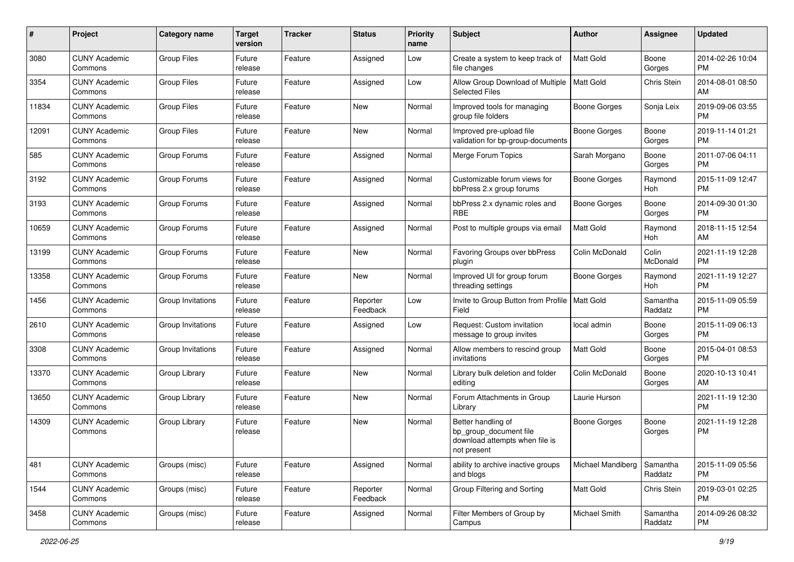| #     | Project                         | <b>Category name</b> | <b>Target</b><br>version | <b>Tracker</b> | <b>Status</b>        | <b>Priority</b><br>name | Subject                                                                                       | Author              | <b>Assignee</b>     | <b>Updated</b>                |
|-------|---------------------------------|----------------------|--------------------------|----------------|----------------------|-------------------------|-----------------------------------------------------------------------------------------------|---------------------|---------------------|-------------------------------|
| 3080  | <b>CUNY Academic</b><br>Commons | <b>Group Files</b>   | Future<br>release        | Feature        | Assigned             | Low                     | Create a system to keep track of<br>file changes                                              | <b>Matt Gold</b>    | Boone<br>Gorges     | 2014-02-26 10:04<br>PM        |
| 3354  | <b>CUNY Academic</b><br>Commons | <b>Group Files</b>   | Future<br>release        | Feature        | Assigned             | Low                     | Allow Group Download of Multiple<br><b>Selected Files</b>                                     | <b>Matt Gold</b>    | Chris Stein         | 2014-08-01 08:50<br>AM        |
| 11834 | <b>CUNY Academic</b><br>Commons | <b>Group Files</b>   | Future<br>release        | Feature        | New                  | Normal                  | Improved tools for managing<br>group file folders                                             | <b>Boone Gorges</b> | Sonja Leix          | 2019-09-06 03:55<br><b>PM</b> |
| 12091 | <b>CUNY Academic</b><br>Commons | <b>Group Files</b>   | Future<br>release        | Feature        | New                  | Normal                  | Improved pre-upload file<br>validation for bp-group-documents                                 | <b>Boone Gorges</b> | Boone<br>Gorges     | 2019-11-14 01:21<br><b>PM</b> |
| 585   | <b>CUNY Academic</b><br>Commons | Group Forums         | Future<br>release        | Feature        | Assigned             | Normal                  | Merge Forum Topics                                                                            | Sarah Morgano       | Boone<br>Gorges     | 2011-07-06 04:11<br><b>PM</b> |
| 3192  | <b>CUNY Academic</b><br>Commons | Group Forums         | Future<br>release        | Feature        | Assigned             | Normal                  | Customizable forum views for<br>bbPress 2.x group forums                                      | <b>Boone Gorges</b> | Raymond<br>Hoh      | 2015-11-09 12:47<br><b>PM</b> |
| 3193  | <b>CUNY Academic</b><br>Commons | Group Forums         | Future<br>release        | Feature        | Assigned             | Normal                  | bbPress 2.x dynamic roles and<br><b>RBE</b>                                                   | <b>Boone Gorges</b> | Boone<br>Gorges     | 2014-09-30 01:30<br><b>PM</b> |
| 10659 | <b>CUNY Academic</b><br>Commons | Group Forums         | Future<br>release        | Feature        | Assigned             | Normal                  | Post to multiple groups via email                                                             | <b>Matt Gold</b>    | Raymond<br>Hoh      | 2018-11-15 12:54<br>AM        |
| 13199 | <b>CUNY Academic</b><br>Commons | Group Forums         | Future<br>release        | Feature        | New                  | Normal                  | Favoring Groups over bbPress<br>plugin                                                        | Colin McDonald      | Colin<br>McDonald   | 2021-11-19 12:28<br><b>PM</b> |
| 13358 | <b>CUNY Academic</b><br>Commons | Group Forums         | Future<br>release        | Feature        | New                  | Normal                  | Improved UI for group forum<br>threading settings                                             | <b>Boone Gorges</b> | Raymond<br>Hoh      | 2021-11-19 12:27<br><b>PM</b> |
| 1456  | <b>CUNY Academic</b><br>Commons | Group Invitations    | Future<br>release        | Feature        | Reporter<br>Feedback | Low                     | Invite to Group Button from Profile   Matt Gold<br>Field                                      |                     | Samantha<br>Raddatz | 2015-11-09 05:59<br><b>PM</b> |
| 2610  | <b>CUNY Academic</b><br>Commons | Group Invitations    | Future<br>release        | Feature        | Assigned             | Low                     | Request: Custom invitation<br>message to group invites                                        | local admin         | Boone<br>Gorges     | 2015-11-09 06:13<br><b>PM</b> |
| 3308  | <b>CUNY Academic</b><br>Commons | Group Invitations    | Future<br>release        | Feature        | Assigned             | Normal                  | Allow members to rescind group<br>invitations                                                 | <b>Matt Gold</b>    | Boone<br>Gorges     | 2015-04-01 08:53<br>PM        |
| 13370 | <b>CUNY Academic</b><br>Commons | Group Library        | Future<br>release        | Feature        | New                  | Normal                  | Library bulk deletion and folder<br>editing                                                   | Colin McDonald      | Boone<br>Gorges     | 2020-10-13 10:41<br>AM        |
| 13650 | <b>CUNY Academic</b><br>Commons | Group Library        | Future<br>release        | Feature        | <b>New</b>           | Normal                  | Forum Attachments in Group<br>Library                                                         | Laurie Hurson       |                     | 2021-11-19 12:30<br><b>PM</b> |
| 14309 | <b>CUNY Academic</b><br>Commons | Group Library        | Future<br>release        | Feature        | New                  | Normal                  | Better handling of<br>bp_group_document file<br>download attempts when file is<br>not present | <b>Boone Gorges</b> | Boone<br>Gorges     | 2021-11-19 12:28<br>PM        |
| 481   | <b>CUNY Academic</b><br>Commons | Groups (misc)        | Future<br>release        | Feature        | Assigned             | Normal                  | ability to archive inactive groups<br>and blogs                                               | Michael Mandiberg   | Samantha<br>Raddatz | 2015-11-09 05:56<br>PM        |
| 1544  | <b>CUNY Academic</b><br>Commons | Groups (misc)        | Future<br>release        | Feature        | Reporter<br>Feedback | Normal                  | Group Filtering and Sorting                                                                   | Matt Gold           | Chris Stein         | 2019-03-01 02:25<br><b>PM</b> |
| 3458  | <b>CUNY Academic</b><br>Commons | Groups (misc)        | Future<br>release        | Feature        | Assigned             | Normal                  | Filter Members of Group by<br>Campus                                                          | Michael Smith       | Samantha<br>Raddatz | 2014-09-26 08:32<br><b>PM</b> |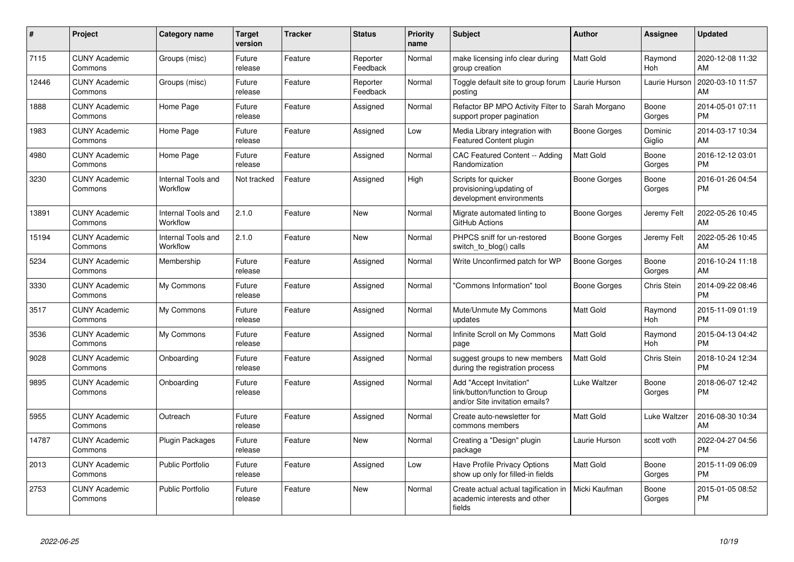| #     | Project                         | <b>Category name</b>           | <b>Target</b><br>version | <b>Tracker</b> | <b>Status</b>        | <b>Priority</b><br>name | <b>Subject</b>                                                                             | <b>Author</b>    | <b>Assignee</b>       | <b>Updated</b>                |
|-------|---------------------------------|--------------------------------|--------------------------|----------------|----------------------|-------------------------|--------------------------------------------------------------------------------------------|------------------|-----------------------|-------------------------------|
| 7115  | <b>CUNY Academic</b><br>Commons | Groups (misc)                  | Future<br>release        | Feature        | Reporter<br>Feedback | Normal                  | make licensing info clear during<br>group creation                                         | <b>Matt Gold</b> | Raymond<br>Hoh        | 2020-12-08 11:32<br>AM        |
| 12446 | <b>CUNY Academic</b><br>Commons | Groups (misc)                  | Future<br>release        | Feature        | Reporter<br>Feedback | Normal                  | Toggle default site to group forum<br>posting                                              | Laurie Hurson    | Laurie Hurson         | 2020-03-10 11:57<br>AM        |
| 1888  | <b>CUNY Academic</b><br>Commons | Home Page                      | Future<br>release        | Feature        | Assigned             | Normal                  | Refactor BP MPO Activity Filter to<br>support proper pagination                            | Sarah Morgano    | Boone<br>Gorges       | 2014-05-01 07:11<br><b>PM</b> |
| 1983  | <b>CUNY Academic</b><br>Commons | Home Page                      | Future<br>release        | Feature        | Assigned             | Low                     | Media Library integration with<br>Featured Content plugin                                  | Boone Gorges     | Dominic<br>Giglio     | 2014-03-17 10:34<br>AM        |
| 4980  | <b>CUNY Academic</b><br>Commons | Home Page                      | Future<br>release        | Feature        | Assigned             | Normal                  | <b>CAC Featured Content -- Adding</b><br>Randomization                                     | <b>Matt Gold</b> | Boone<br>Gorges       | 2016-12-12 03:01<br><b>PM</b> |
| 3230  | <b>CUNY Academic</b><br>Commons | Internal Tools and<br>Workflow | Not tracked              | Feature        | Assigned             | High                    | Scripts for quicker<br>provisioning/updating of<br>development environments                | Boone Gorges     | Boone<br>Gorges       | 2016-01-26 04:54<br><b>PM</b> |
| 13891 | <b>CUNY Academic</b><br>Commons | Internal Tools and<br>Workflow | 2.1.0                    | Feature        | <b>New</b>           | Normal                  | Migrate automated linting to<br>GitHub Actions                                             | Boone Gorges     | Jeremy Felt           | 2022-05-26 10:45<br>AM        |
| 15194 | <b>CUNY Academic</b><br>Commons | Internal Tools and<br>Workflow | 2.1.0                    | Feature        | <b>New</b>           | Normal                  | PHPCS sniff for un-restored<br>switch_to_blog() calls                                      | Boone Gorges     | Jeremy Felt           | 2022-05-26 10:45<br>AM        |
| 5234  | <b>CUNY Academic</b><br>Commons | Membership                     | Future<br>release        | Feature        | Assigned             | Normal                  | Write Unconfirmed patch for WP                                                             | Boone Gorges     | Boone<br>Gorges       | 2016-10-24 11:18<br>AM        |
| 3330  | <b>CUNY Academic</b><br>Commons | My Commons                     | Future<br>release        | Feature        | Assigned             | Normal                  | "Commons Information" tool                                                                 | Boone Gorges     | Chris Stein           | 2014-09-22 08:46<br><b>PM</b> |
| 3517  | <b>CUNY Academic</b><br>Commons | My Commons                     | Future<br>release        | Feature        | Assigned             | Normal                  | Mute/Unmute My Commons<br>updates                                                          | <b>Matt Gold</b> | Raymond<br>Hoh        | 2015-11-09 01:19<br><b>PM</b> |
| 3536  | <b>CUNY Academic</b><br>Commons | My Commons                     | Future<br>release        | Feature        | Assigned             | Normal                  | Infinite Scroll on My Commons<br>page                                                      | Matt Gold        | Raymond<br><b>Hoh</b> | 2015-04-13 04:42<br><b>PM</b> |
| 9028  | <b>CUNY Academic</b><br>Commons | Onboarding                     | Future<br>release        | Feature        | Assigned             | Normal                  | suggest groups to new members<br>during the registration process                           | Matt Gold        | Chris Stein           | 2018-10-24 12:34<br><b>PM</b> |
| 9895  | <b>CUNY Academic</b><br>Commons | Onboarding                     | Future<br>release        | Feature        | Assigned             | Normal                  | Add "Accept Invitation"<br>link/button/function to Group<br>and/or Site invitation emails? | Luke Waltzer     | Boone<br>Gorges       | 2018-06-07 12:42<br><b>PM</b> |
| 5955  | <b>CUNY Academic</b><br>Commons | Outreach                       | Future<br>release        | Feature        | Assigned             | Normal                  | Create auto-newsletter for<br>commons members                                              | <b>Matt Gold</b> | Luke Waltzer          | 2016-08-30 10:34<br>AM        |
| 14787 | <b>CUNY Academic</b><br>Commons | <b>Plugin Packages</b>         | Future<br>release        | Feature        | <b>New</b>           | Normal                  | Creating a "Design" plugin<br>package                                                      | Laurie Hurson    | scott voth            | 2022-04-27 04:56<br><b>PM</b> |
| 2013  | <b>CUNY Academic</b><br>Commons | <b>Public Portfolio</b>        | Future<br>release        | Feature        | Assigned             | Low                     | Have Profile Privacy Options<br>show up only for filled-in fields                          | Matt Gold        | Boone<br>Gorges       | 2015-11-09 06:09<br><b>PM</b> |
| 2753  | <b>CUNY Academic</b><br>Commons | Public Portfolio               | Future<br>release        | Feature        | <b>New</b>           | Normal                  | Create actual actual tagification in<br>academic interests and other<br>fields             | Micki Kaufman    | Boone<br>Gorges       | 2015-01-05 08:52<br><b>PM</b> |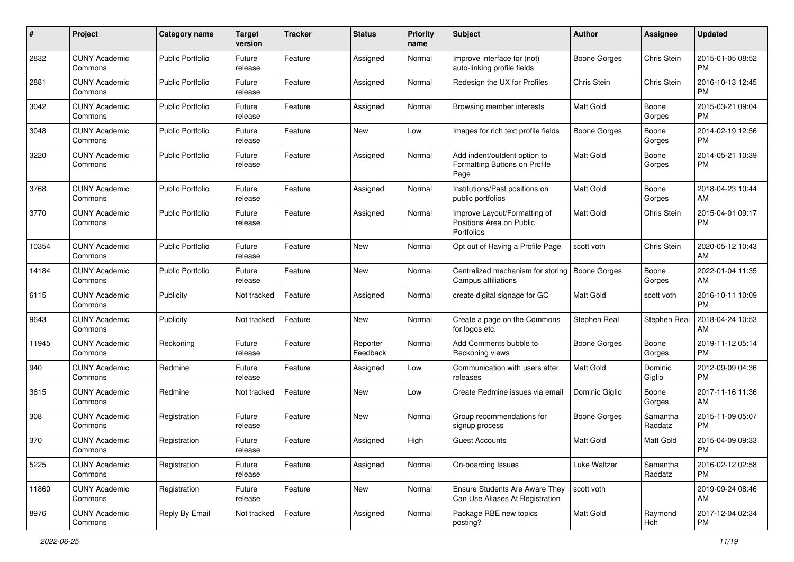| #     | Project                         | Category name           | <b>Target</b><br>version | <b>Tracker</b> | <b>Status</b>        | <b>Priority</b><br>name | Subject                                                                  | Author              | <b>Assignee</b>     | <b>Updated</b>                |
|-------|---------------------------------|-------------------------|--------------------------|----------------|----------------------|-------------------------|--------------------------------------------------------------------------|---------------------|---------------------|-------------------------------|
| 2832  | <b>CUNY Academic</b><br>Commons | <b>Public Portfolio</b> | Future<br>release        | Feature        | Assigned             | Normal                  | Improve interface for (not)<br>auto-linking profile fields               | <b>Boone Gorges</b> | Chris Stein         | 2015-01-05 08:52<br><b>PM</b> |
| 2881  | <b>CUNY Academic</b><br>Commons | <b>Public Portfolio</b> | Future<br>release        | Feature        | Assigned             | Normal                  | Redesign the UX for Profiles                                             | Chris Stein         | Chris Stein         | 2016-10-13 12:45<br><b>PM</b> |
| 3042  | <b>CUNY Academic</b><br>Commons | <b>Public Portfolio</b> | Future<br>release        | Feature        | Assigned             | Normal                  | Browsing member interests                                                | Matt Gold           | Boone<br>Gorges     | 2015-03-21 09:04<br><b>PM</b> |
| 3048  | <b>CUNY Academic</b><br>Commons | <b>Public Portfolio</b> | Future<br>release        | Feature        | <b>New</b>           | Low                     | Images for rich text profile fields                                      | <b>Boone Gorges</b> | Boone<br>Gorges     | 2014-02-19 12:56<br><b>PM</b> |
| 3220  | <b>CUNY Academic</b><br>Commons | <b>Public Portfolio</b> | Future<br>release        | Feature        | Assigned             | Normal                  | Add indent/outdent option to<br>Formatting Buttons on Profile<br>Page    | <b>Matt Gold</b>    | Boone<br>Gorges     | 2014-05-21 10:39<br><b>PM</b> |
| 3768  | <b>CUNY Academic</b><br>Commons | <b>Public Portfolio</b> | Future<br>release        | Feature        | Assigned             | Normal                  | Institutions/Past positions on<br>public portfolios                      | <b>Matt Gold</b>    | Boone<br>Gorges     | 2018-04-23 10:44<br>AM        |
| 3770  | <b>CUNY Academic</b><br>Commons | <b>Public Portfolio</b> | Future<br>release        | Feature        | Assigned             | Normal                  | Improve Layout/Formatting of<br>Positions Area on Public<br>Portfolios   | <b>Matt Gold</b>    | Chris Stein         | 2015-04-01 09:17<br>PM        |
| 10354 | <b>CUNY Academic</b><br>Commons | <b>Public Portfolio</b> | Future<br>release        | Feature        | New                  | Normal                  | Opt out of Having a Profile Page                                         | scott voth          | Chris Stein         | 2020-05-12 10:43<br>AM        |
| 14184 | <b>CUNY Academic</b><br>Commons | <b>Public Portfolio</b> | Future<br>release        | Feature        | New                  | Normal                  | Centralized mechanism for storing<br>Campus affiliations                 | <b>Boone Gorges</b> | Boone<br>Gorges     | 2022-01-04 11:35<br>AM        |
| 6115  | <b>CUNY Academic</b><br>Commons | Publicity               | Not tracked              | Feature        | Assigned             | Normal                  | create digital signage for GC                                            | <b>Matt Gold</b>    | scott voth          | 2016-10-11 10:09<br><b>PM</b> |
| 9643  | <b>CUNY Academic</b><br>Commons | Publicity               | Not tracked              | Feature        | New                  | Normal                  | Create a page on the Commons<br>for logos etc.                           | Stephen Real        | Stephen Real        | 2018-04-24 10:53<br>AM        |
| 11945 | <b>CUNY Academic</b><br>Commons | Reckoning               | Future<br>release        | Feature        | Reporter<br>Feedback | Normal                  | Add Comments bubble to<br>Reckoning views                                | <b>Boone Gorges</b> | Boone<br>Gorges     | 2019-11-12 05:14<br><b>PM</b> |
| 940   | <b>CUNY Academic</b><br>Commons | Redmine                 | Future<br>release        | Feature        | Assigned             | Low                     | Communication with users after<br>releases                               | Matt Gold           | Dominic<br>Giglio   | 2012-09-09 04:36<br><b>PM</b> |
| 3615  | <b>CUNY Academic</b><br>Commons | Redmine                 | Not tracked              | Feature        | New                  | Low                     | Create Redmine issues via email                                          | Dominic Giglio      | Boone<br>Gorges     | 2017-11-16 11:36<br>AM        |
| 308   | <b>CUNY Academic</b><br>Commons | Registration            | Future<br>release        | Feature        | <b>New</b>           | Normal                  | Group recommendations for<br>signup process                              | <b>Boone Gorges</b> | Samantha<br>Raddatz | 2015-11-09 05:07<br><b>PM</b> |
| 370   | <b>CUNY Academic</b><br>Commons | Registration            | Future<br>release        | Feature        | Assigned             | High                    | <b>Guest Accounts</b>                                                    | Matt Gold           | Matt Gold           | 2015-04-09 09:33<br>PM        |
| 5225  | <b>CUNY Academic</b><br>Commons | Registration            | Future<br>release        | Feature        | Assigned             | Normal                  | On-boarding Issues                                                       | Luke Waltzer        | Samantha<br>Raddatz | 2016-02-12 02:58<br>PM        |
| 11860 | <b>CUNY Academic</b><br>Commons | Registration            | Future<br>release        | Feature        | New                  | Normal                  | <b>Ensure Students Are Aware They</b><br>Can Use Aliases At Registration | scott voth          |                     | 2019-09-24 08:46<br>AM        |
| 8976  | <b>CUNY Academic</b><br>Commons | Reply By Email          | Not tracked              | Feature        | Assigned             | Normal                  | Package RBE new topics<br>posting?                                       | Matt Gold           | Raymond<br>Hoh      | 2017-12-04 02:34<br><b>PM</b> |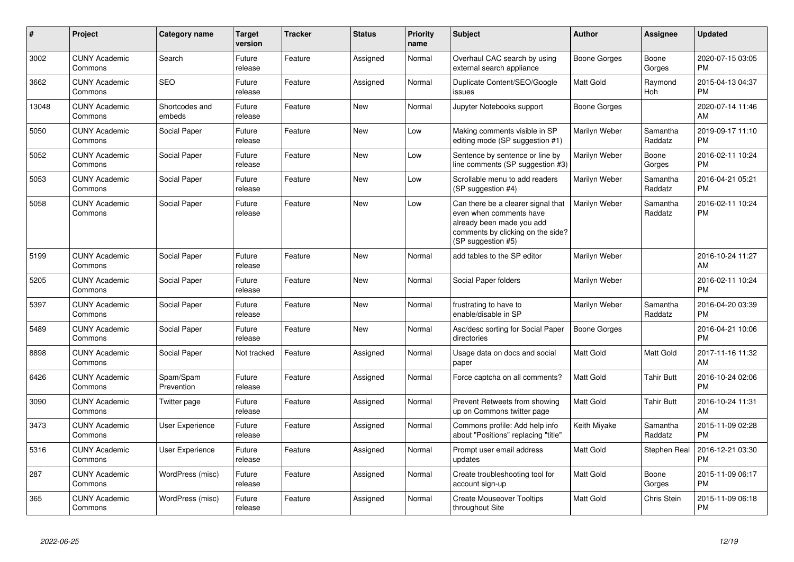| $\pmb{\#}$ | Project                         | <b>Category name</b>     | <b>Target</b><br>version | <b>Tracker</b> | <b>Status</b> | <b>Priority</b><br>name | <b>Subject</b>                                                                                                                                        | Author              | <b>Assignee</b>       | <b>Updated</b>                |
|------------|---------------------------------|--------------------------|--------------------------|----------------|---------------|-------------------------|-------------------------------------------------------------------------------------------------------------------------------------------------------|---------------------|-----------------------|-------------------------------|
| 3002       | <b>CUNY Academic</b><br>Commons | Search                   | Future<br>release        | Feature        | Assigned      | Normal                  | Overhaul CAC search by using<br>external search appliance                                                                                             | Boone Gorges        | Boone<br>Gorges       | 2020-07-15 03:05<br><b>PM</b> |
| 3662       | <b>CUNY Academic</b><br>Commons | <b>SEO</b>               | Future<br>release        | Feature        | Assigned      | Normal                  | Duplicate Content/SEO/Google<br>issues                                                                                                                | Matt Gold           | Raymond<br><b>Hoh</b> | 2015-04-13 04:37<br><b>PM</b> |
| 13048      | <b>CUNY Academic</b><br>Commons | Shortcodes and<br>embeds | Future<br>release        | Feature        | <b>New</b>    | Normal                  | Jupyter Notebooks support                                                                                                                             | Boone Gorges        |                       | 2020-07-14 11:46<br>AM        |
| 5050       | <b>CUNY Academic</b><br>Commons | Social Paper             | Future<br>release        | Feature        | <b>New</b>    | Low                     | Making comments visible in SP<br>editing mode (SP suggestion #1)                                                                                      | Marilyn Weber       | Samantha<br>Raddatz   | 2019-09-17 11:10<br><b>PM</b> |
| 5052       | <b>CUNY Academic</b><br>Commons | Social Paper             | Future<br>release        | Feature        | New           | Low                     | Sentence by sentence or line by<br>line comments (SP suggestion #3)                                                                                   | Marilyn Weber       | Boone<br>Gorges       | 2016-02-11 10:24<br><b>PM</b> |
| 5053       | <b>CUNY Academic</b><br>Commons | Social Paper             | Future<br>release        | Feature        | <b>New</b>    | Low                     | Scrollable menu to add readers<br>(SP suggestion #4)                                                                                                  | Marilyn Weber       | Samantha<br>Raddatz   | 2016-04-21 05:21<br><b>PM</b> |
| 5058       | <b>CUNY Academic</b><br>Commons | Social Paper             | Future<br>release        | Feature        | <b>New</b>    | Low                     | Can there be a clearer signal that<br>even when comments have<br>already been made you add<br>comments by clicking on the side?<br>(SP suggestion #5) | Marilyn Weber       | Samantha<br>Raddatz   | 2016-02-11 10:24<br><b>PM</b> |
| 5199       | <b>CUNY Academic</b><br>Commons | Social Paper             | Future<br>release        | Feature        | New           | Normal                  | add tables to the SP editor                                                                                                                           | Marilyn Weber       |                       | 2016-10-24 11:27<br>AM        |
| 5205       | <b>CUNY Academic</b><br>Commons | Social Paper             | Future<br>release        | Feature        | <b>New</b>    | Normal                  | Social Paper folders                                                                                                                                  | Marilyn Weber       |                       | 2016-02-11 10:24<br><b>PM</b> |
| 5397       | <b>CUNY Academic</b><br>Commons | Social Paper             | Future<br>release        | Feature        | <b>New</b>    | Normal                  | frustrating to have to<br>enable/disable in SP                                                                                                        | Marilyn Weber       | Samantha<br>Raddatz   | 2016-04-20 03:39<br><b>PM</b> |
| 5489       | <b>CUNY Academic</b><br>Commons | Social Paper             | Future<br>release        | Feature        | <b>New</b>    | Normal                  | Asc/desc sorting for Social Paper<br>directories                                                                                                      | <b>Boone Gorges</b> |                       | 2016-04-21 10:06<br><b>PM</b> |
| 8898       | <b>CUNY Academic</b><br>Commons | Social Paper             | Not tracked              | Feature        | Assigned      | Normal                  | Usage data on docs and social<br>paper                                                                                                                | <b>Matt Gold</b>    | Matt Gold             | 2017-11-16 11:32<br>AM        |
| 6426       | <b>CUNY Academic</b><br>Commons | Spam/Spam<br>Prevention  | Future<br>release        | Feature        | Assigned      | Normal                  | Force captcha on all comments?                                                                                                                        | <b>Matt Gold</b>    | <b>Tahir Butt</b>     | 2016-10-24 02:06<br><b>PM</b> |
| 3090       | <b>CUNY Academic</b><br>Commons | Twitter page             | Future<br>release        | Feature        | Assigned      | Normal                  | Prevent Retweets from showing<br>up on Commons twitter page                                                                                           | <b>Matt Gold</b>    | <b>Tahir Butt</b>     | 2016-10-24 11:31<br>AM        |
| 3473       | <b>CUNY Academic</b><br>Commons | <b>User Experience</b>   | Future<br>release        | Feature        | Assigned      | Normal                  | Commons profile: Add help info<br>about "Positions" replacing "title"                                                                                 | Keith Miyake        | Samantha<br>Raddatz   | 2015-11-09 02:28<br><b>PM</b> |
| 5316       | <b>CUNY Academic</b><br>Commons | <b>User Experience</b>   | Future<br>release        | Feature        | Assigned      | Normal                  | Prompt user email address<br>updates                                                                                                                  | Matt Gold           | Stephen Real          | 2016-12-21 03:30<br><b>PM</b> |
| 287        | <b>CUNY Academic</b><br>Commons | WordPress (misc)         | Future<br>release        | Feature        | Assigned      | Normal                  | Create troubleshooting tool for<br>account sign-up                                                                                                    | Matt Gold           | Boone<br>Gorges       | 2015-11-09 06:17<br><b>PM</b> |
| 365        | <b>CUNY Academic</b><br>Commons | WordPress (misc)         | Future<br>release        | Feature        | Assigned      | Normal                  | <b>Create Mouseover Tooltips</b><br>throughout Site                                                                                                   | Matt Gold           | Chris Stein           | 2015-11-09 06:18<br>PM        |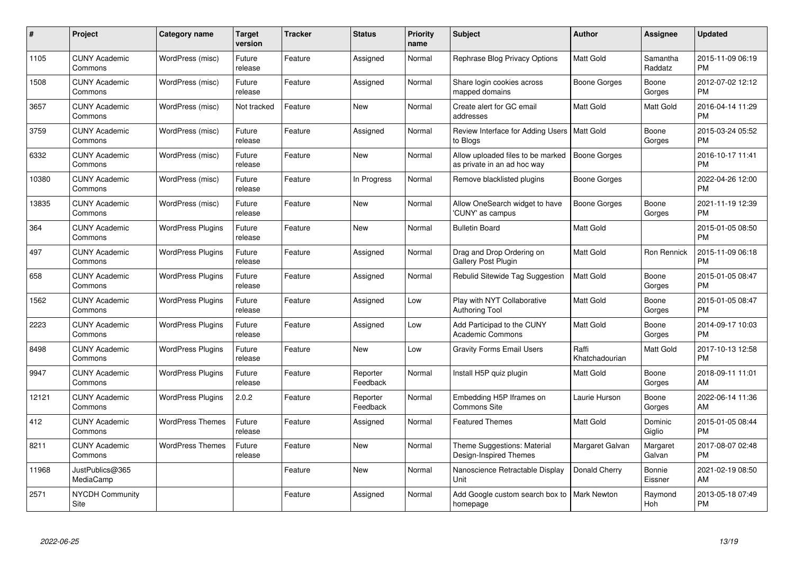| $\pmb{\#}$ | Project                         | <b>Category name</b>     | <b>Target</b><br>version | <b>Tracker</b> | <b>Status</b>        | <b>Priority</b><br>name | <b>Subject</b>                                                   | Author                  | <b>Assignee</b>     | <b>Updated</b>                |
|------------|---------------------------------|--------------------------|--------------------------|----------------|----------------------|-------------------------|------------------------------------------------------------------|-------------------------|---------------------|-------------------------------|
| 1105       | <b>CUNY Academic</b><br>Commons | WordPress (misc)         | Future<br>release        | Feature        | Assigned             | Normal                  | Rephrase Blog Privacy Options                                    | <b>Matt Gold</b>        | Samantha<br>Raddatz | 2015-11-09 06:19<br><b>PM</b> |
| 1508       | <b>CUNY Academic</b><br>Commons | WordPress (misc)         | Future<br>release        | Feature        | Assigned             | Normal                  | Share login cookies across<br>mapped domains                     | Boone Gorges            | Boone<br>Gorges     | 2012-07-02 12:12<br><b>PM</b> |
| 3657       | <b>CUNY Academic</b><br>Commons | WordPress (misc)         | Not tracked              | Feature        | <b>New</b>           | Normal                  | Create alert for GC email<br>addresses                           | Matt Gold               | Matt Gold           | 2016-04-14 11:29<br><b>PM</b> |
| 3759       | <b>CUNY Academic</b><br>Commons | WordPress (misc)         | Future<br>release        | Feature        | Assigned             | Normal                  | Review Interface for Adding Users   Matt Gold<br>to Blogs        |                         | Boone<br>Gorges     | 2015-03-24 05:52<br><b>PM</b> |
| 6332       | <b>CUNY Academic</b><br>Commons | WordPress (misc)         | Future<br>release        | Feature        | <b>New</b>           | Normal                  | Allow uploaded files to be marked<br>as private in an ad hoc way | <b>Boone Gorges</b>     |                     | 2016-10-17 11:41<br><b>PM</b> |
| 10380      | <b>CUNY Academic</b><br>Commons | WordPress (misc)         | Future<br>release        | Feature        | In Progress          | Normal                  | Remove blacklisted plugins                                       | Boone Gorges            |                     | 2022-04-26 12:00<br><b>PM</b> |
| 13835      | <b>CUNY Academic</b><br>Commons | WordPress (misc)         | Future<br>release        | Feature        | <b>New</b>           | Normal                  | Allow OneSearch widget to have<br>'CUNY' as campus               | <b>Boone Gorges</b>     | Boone<br>Gorges     | 2021-11-19 12:39<br><b>PM</b> |
| 364        | <b>CUNY Academic</b><br>Commons | <b>WordPress Plugins</b> | Future<br>release        | Feature        | <b>New</b>           | Normal                  | <b>Bulletin Board</b>                                            | Matt Gold               |                     | 2015-01-05 08:50<br><b>PM</b> |
| 497        | <b>CUNY Academic</b><br>Commons | <b>WordPress Plugins</b> | Future<br>release        | Feature        | Assigned             | Normal                  | Drag and Drop Ordering on<br><b>Gallery Post Plugin</b>          | <b>Matt Gold</b>        | Ron Rennick         | 2015-11-09 06:18<br><b>PM</b> |
| 658        | <b>CUNY Academic</b><br>Commons | <b>WordPress Plugins</b> | Future<br>release        | Feature        | Assigned             | Normal                  | Rebulid Sitewide Tag Suggestion                                  | Matt Gold               | Boone<br>Gorges     | 2015-01-05 08:47<br>PM        |
| 1562       | <b>CUNY Academic</b><br>Commons | <b>WordPress Plugins</b> | Future<br>release        | Feature        | Assigned             | Low                     | Play with NYT Collaborative<br><b>Authoring Tool</b>             | <b>Matt Gold</b>        | Boone<br>Gorges     | 2015-01-05 08:47<br><b>PM</b> |
| 2223       | <b>CUNY Academic</b><br>Commons | <b>WordPress Plugins</b> | Future<br>release        | Feature        | Assigned             | Low                     | Add Participad to the CUNY<br><b>Academic Commons</b>            | Matt Gold               | Boone<br>Gorges     | 2014-09-17 10:03<br><b>PM</b> |
| 8498       | <b>CUNY Academic</b><br>Commons | <b>WordPress Plugins</b> | Future<br>release        | Feature        | <b>New</b>           | Low                     | <b>Gravity Forms Email Users</b>                                 | Raffi<br>Khatchadourian | <b>Matt Gold</b>    | 2017-10-13 12:58<br><b>PM</b> |
| 9947       | <b>CUNY Academic</b><br>Commons | <b>WordPress Plugins</b> | Future<br>release        | Feature        | Reporter<br>Feedback | Normal                  | Install H5P quiz plugin                                          | <b>Matt Gold</b>        | Boone<br>Gorges     | 2018-09-11 11:01<br>AM        |
| 12121      | <b>CUNY Academic</b><br>Commons | <b>WordPress Plugins</b> | 2.0.2                    | Feature        | Reporter<br>Feedback | Normal                  | Embedding H5P Iframes on<br><b>Commons Site</b>                  | Laurie Hurson           | Boone<br>Gorges     | 2022-06-14 11:36<br>AM        |
| 412        | <b>CUNY Academic</b><br>Commons | <b>WordPress Themes</b>  | Future<br>release        | Feature        | Assigned             | Normal                  | <b>Featured Themes</b>                                           | <b>Matt Gold</b>        | Dominic<br>Giglio   | 2015-01-05 08:44<br><b>PM</b> |
| 8211       | <b>CUNY Academic</b><br>Commons | <b>WordPress Themes</b>  | Future<br>release        | Feature        | New                  | Normal                  | Theme Suggestions: Material<br>Design-Inspired Themes            | Margaret Galvan         | Margaret<br>Galvan  | 2017-08-07 02:48<br><b>PM</b> |
| 11968      | JustPublics@365<br>MediaCamp    |                          |                          | Feature        | <b>New</b>           | Normal                  | Nanoscience Retractable Display<br>Unit                          | Donald Cherry           | Bonnie<br>Eissner   | 2021-02-19 08:50<br>AM        |
| 2571       | <b>NYCDH Community</b><br>Site  |                          |                          | Feature        | Assigned             | Normal                  | Add Google custom search box to<br>homepage                      | Mark Newton             | Raymond<br>Hoh      | 2013-05-18 07:49<br>PM        |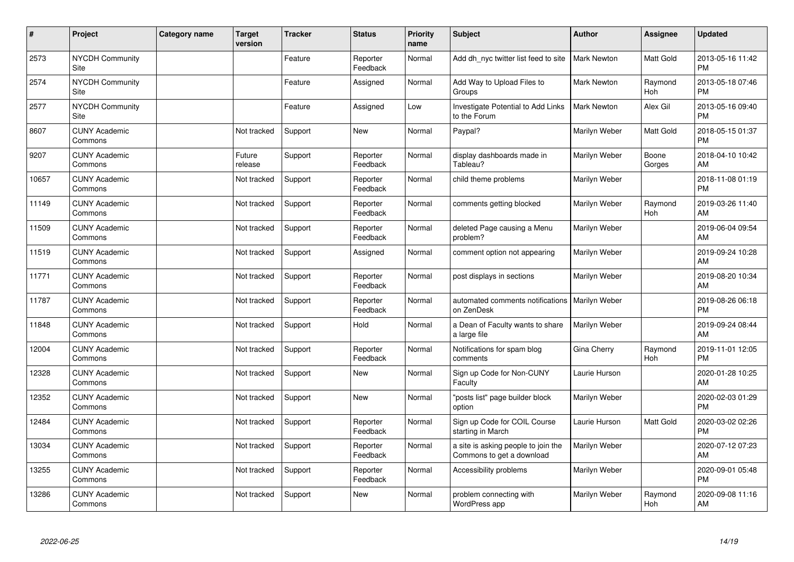| #     | Project                         | <b>Category name</b> | <b>Target</b><br>version | <b>Tracker</b> | <b>Status</b>        | <b>Priority</b><br>name | <b>Subject</b>                                                   | <b>Author</b>      | <b>Assignee</b>       | <b>Updated</b>                |
|-------|---------------------------------|----------------------|--------------------------|----------------|----------------------|-------------------------|------------------------------------------------------------------|--------------------|-----------------------|-------------------------------|
| 2573  | <b>NYCDH Community</b><br>Site  |                      |                          | Feature        | Reporter<br>Feedback | Normal                  | Add dh nyc twitter list feed to site                             | <b>Mark Newton</b> | Matt Gold             | 2013-05-16 11:42<br><b>PM</b> |
| 2574  | NYCDH Community<br>Site         |                      |                          | Feature        | Assigned             | Normal                  | Add Way to Upload Files to<br>Groups                             | Mark Newton        | Raymond<br><b>Hoh</b> | 2013-05-18 07:46<br><b>PM</b> |
| 2577  | <b>NYCDH Community</b><br>Site  |                      |                          | Feature        | Assigned             | Low                     | Investigate Potential to Add Links<br>to the Forum               | <b>Mark Newton</b> | Alex Gil              | 2013-05-16 09:40<br><b>PM</b> |
| 8607  | <b>CUNY Academic</b><br>Commons |                      | Not tracked              | Support        | <b>New</b>           | Normal                  | Paypal?                                                          | Marilyn Weber      | Matt Gold             | 2018-05-15 01:37<br><b>PM</b> |
| 9207  | <b>CUNY Academic</b><br>Commons |                      | Future<br>release        | Support        | Reporter<br>Feedback | Normal                  | display dashboards made in<br>Tableau?                           | Marilyn Weber      | Boone<br>Gorges       | 2018-04-10 10:42<br>AM        |
| 10657 | <b>CUNY Academic</b><br>Commons |                      | Not tracked              | Support        | Reporter<br>Feedback | Normal                  | child theme problems                                             | Marilyn Weber      |                       | 2018-11-08 01:19<br><b>PM</b> |
| 11149 | <b>CUNY Academic</b><br>Commons |                      | Not tracked              | Support        | Reporter<br>Feedback | Normal                  | comments getting blocked                                         | Marilyn Weber      | Raymond<br>Hoh        | 2019-03-26 11:40<br>AM        |
| 11509 | <b>CUNY Academic</b><br>Commons |                      | Not tracked              | Support        | Reporter<br>Feedback | Normal                  | deleted Page causing a Menu<br>problem?                          | Marilyn Weber      |                       | 2019-06-04 09:54<br>AM        |
| 11519 | <b>CUNY Academic</b><br>Commons |                      | Not tracked              | Support        | Assigned             | Normal                  | comment option not appearing                                     | Marilyn Weber      |                       | 2019-09-24 10:28<br>AM        |
| 11771 | <b>CUNY Academic</b><br>Commons |                      | Not tracked              | Support        | Reporter<br>Feedback | Normal                  | post displays in sections                                        | Marilyn Weber      |                       | 2019-08-20 10:34<br>AM        |
| 11787 | <b>CUNY Academic</b><br>Commons |                      | Not tracked              | Support        | Reporter<br>Feedback | Normal                  | automated comments notifications<br>on ZenDesk                   | Marilyn Weber      |                       | 2019-08-26 06:18<br><b>PM</b> |
| 11848 | <b>CUNY Academic</b><br>Commons |                      | Not tracked              | Support        | Hold                 | Normal                  | a Dean of Faculty wants to share<br>a large file                 | Marilyn Weber      |                       | 2019-09-24 08:44<br>AM        |
| 12004 | <b>CUNY Academic</b><br>Commons |                      | Not tracked              | Support        | Reporter<br>Feedback | Normal                  | Notifications for spam blog<br>comments                          | Gina Cherry        | Raymond<br>Hoh        | 2019-11-01 12:05<br><b>PM</b> |
| 12328 | <b>CUNY Academic</b><br>Commons |                      | Not tracked              | Support        | <b>New</b>           | Normal                  | Sign up Code for Non-CUNY<br>Faculty                             | Laurie Hurson      |                       | 2020-01-28 10:25<br>AM        |
| 12352 | <b>CUNY Academic</b><br>Commons |                      | Not tracked              | Support        | New                  | Normal                  | 'posts list" page builder block<br>option                        | Marilyn Weber      |                       | 2020-02-03 01:29<br><b>PM</b> |
| 12484 | <b>CUNY Academic</b><br>Commons |                      | Not tracked              | Support        | Reporter<br>Feedback | Normal                  | Sign up Code for COIL Course<br>starting in March                | Laurie Hurson      | Matt Gold             | 2020-03-02 02:26<br><b>PM</b> |
| 13034 | <b>CUNY Academic</b><br>Commons |                      | Not tracked              | Support        | Reporter<br>Feedback | Normal                  | a site is asking people to join the<br>Commons to get a download | Marilyn Weber      |                       | 2020-07-12 07:23<br>AM        |
| 13255 | <b>CUNY Academic</b><br>Commons |                      | Not tracked              | Support        | Reporter<br>Feedback | Normal                  | Accessibility problems                                           | Marilyn Weber      |                       | 2020-09-01 05:48<br><b>PM</b> |
| 13286 | <b>CUNY Academic</b><br>Commons |                      | Not tracked              | Support        | <b>New</b>           | Normal                  | problem connecting with<br>WordPress app                         | Marilyn Weber      | Raymond<br>Hoh        | 2020-09-08 11:16<br>AM        |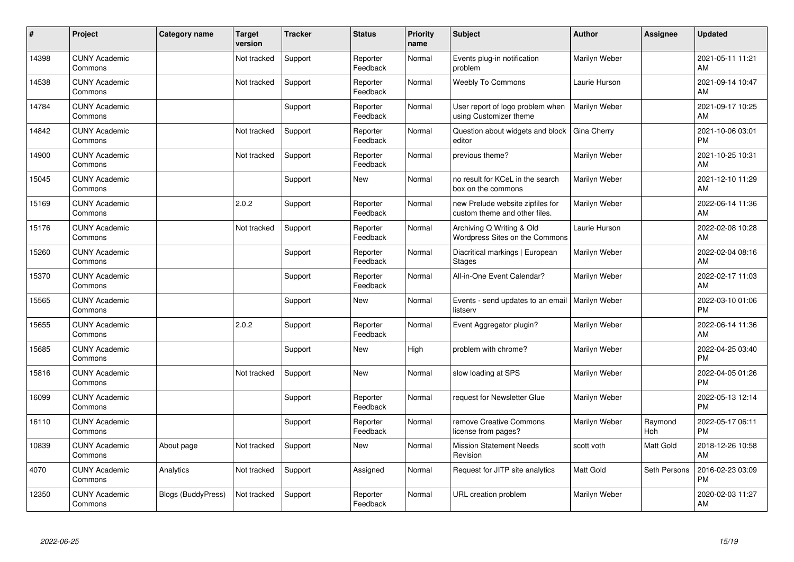| ∦     | Project                         | <b>Category name</b>      | <b>Target</b><br>version | <b>Tracker</b> | <b>Status</b>        | <b>Priority</b><br>name | <b>Subject</b>                                                    | <b>Author</b> | <b>Assignee</b> | <b>Updated</b>                |
|-------|---------------------------------|---------------------------|--------------------------|----------------|----------------------|-------------------------|-------------------------------------------------------------------|---------------|-----------------|-------------------------------|
| 14398 | <b>CUNY Academic</b><br>Commons |                           | Not tracked              | Support        | Reporter<br>Feedback | Normal                  | Events plug-in notification<br>problem                            | Marilyn Weber |                 | 2021-05-11 11:21<br>AM        |
| 14538 | <b>CUNY Academic</b><br>Commons |                           | Not tracked              | Support        | Reporter<br>Feedback | Normal                  | <b>Weebly To Commons</b>                                          | Laurie Hurson |                 | 2021-09-14 10:47<br>AM        |
| 14784 | <b>CUNY Academic</b><br>Commons |                           |                          | Support        | Reporter<br>Feedback | Normal                  | User report of logo problem when<br>using Customizer theme        | Marilyn Weber |                 | 2021-09-17 10:25<br>AM        |
| 14842 | <b>CUNY Academic</b><br>Commons |                           | Not tracked              | Support        | Reporter<br>Feedback | Normal                  | Question about widgets and block<br>editor                        | Gina Cherry   |                 | 2021-10-06 03:01<br><b>PM</b> |
| 14900 | <b>CUNY Academic</b><br>Commons |                           | Not tracked              | Support        | Reporter<br>Feedback | Normal                  | previous theme?                                                   | Marilyn Weber |                 | 2021-10-25 10:31<br>AM        |
| 15045 | <b>CUNY Academic</b><br>Commons |                           |                          | Support        | <b>New</b>           | Normal                  | no result for KCeL in the search<br>box on the commons            | Marilyn Weber |                 | 2021-12-10 11:29<br>AM        |
| 15169 | <b>CUNY Academic</b><br>Commons |                           | 2.0.2                    | Support        | Reporter<br>Feedback | Normal                  | new Prelude website zipfiles for<br>custom theme and other files. | Marilyn Weber |                 | 2022-06-14 11:36<br>AM        |
| 15176 | <b>CUNY Academic</b><br>Commons |                           | Not tracked              | Support        | Reporter<br>Feedback | Normal                  | Archiving Q Writing & Old<br>Wordpress Sites on the Commons       | Laurie Hurson |                 | 2022-02-08 10:28<br>AM        |
| 15260 | <b>CUNY Academic</b><br>Commons |                           |                          | Support        | Reporter<br>Feedback | Normal                  | Diacritical markings   European<br><b>Stages</b>                  | Marilyn Weber |                 | 2022-02-04 08:16<br>AM        |
| 15370 | <b>CUNY Academic</b><br>Commons |                           |                          | Support        | Reporter<br>Feedback | Normal                  | All-in-One Event Calendar?                                        | Marilyn Weber |                 | 2022-02-17 11:03<br>AM        |
| 15565 | <b>CUNY Academic</b><br>Commons |                           |                          | Support        | New                  | Normal                  | Events - send updates to an email<br>listserv                     | Marilyn Weber |                 | 2022-03-10 01:06<br><b>PM</b> |
| 15655 | <b>CUNY Academic</b><br>Commons |                           | 2.0.2                    | Support        | Reporter<br>Feedback | Normal                  | Event Aggregator plugin?                                          | Marilyn Weber |                 | 2022-06-14 11:36<br>AM        |
| 15685 | <b>CUNY Academic</b><br>Commons |                           |                          | Support        | New                  | High                    | problem with chrome?                                              | Marilyn Weber |                 | 2022-04-25 03:40<br><b>PM</b> |
| 15816 | <b>CUNY Academic</b><br>Commons |                           | Not tracked              | Support        | New                  | Normal                  | slow loading at SPS                                               | Marilyn Weber |                 | 2022-04-05 01:26<br><b>PM</b> |
| 16099 | <b>CUNY Academic</b><br>Commons |                           |                          | Support        | Reporter<br>Feedback | Normal                  | request for Newsletter Glue                                       | Marilyn Weber |                 | 2022-05-13 12:14<br><b>PM</b> |
| 16110 | <b>CUNY Academic</b><br>Commons |                           |                          | Support        | Reporter<br>Feedback | Normal                  | remove Creative Commons<br>license from pages?                    | Marilyn Weber | Raymond<br>Hoh  | 2022-05-17 06:11<br><b>PM</b> |
| 10839 | <b>CUNY Academic</b><br>Commons | About page                | Not tracked              | Support        | <b>New</b>           | Normal                  | <b>Mission Statement Needs</b><br>Revision                        | scott voth    | Matt Gold       | 2018-12-26 10:58<br>AM        |
| 4070  | <b>CUNY Academic</b><br>Commons | Analytics                 | Not tracked              | Support        | Assigned             | Normal                  | Request for JITP site analytics                                   | Matt Gold     | Seth Persons    | 2016-02-23 03:09<br><b>PM</b> |
| 12350 | <b>CUNY Academic</b><br>Commons | <b>Blogs (BuddyPress)</b> | Not tracked              | Support        | Reporter<br>Feedback | Normal                  | URL creation problem                                              | Marilyn Weber |                 | 2020-02-03 11:27<br>AM        |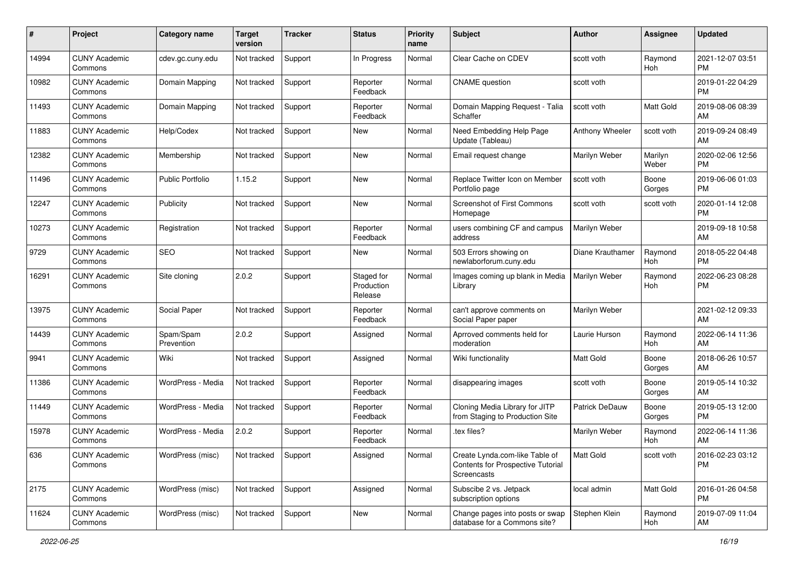| #     | Project                         | <b>Category name</b>    | <b>Target</b><br>version | <b>Tracker</b> | <b>Status</b>                       | <b>Priority</b><br>name | <b>Subject</b>                                                                     | <b>Author</b>         | <b>Assignee</b>       | <b>Updated</b>                |
|-------|---------------------------------|-------------------------|--------------------------|----------------|-------------------------------------|-------------------------|------------------------------------------------------------------------------------|-----------------------|-----------------------|-------------------------------|
| 14994 | <b>CUNY Academic</b><br>Commons | cdev.gc.cuny.edu        | Not tracked              | Support        | In Progress                         | Normal                  | Clear Cache on CDEV                                                                | scott voth            | Raymond<br>Hoh        | 2021-12-07 03:51<br><b>PM</b> |
| 10982 | <b>CUNY Academic</b><br>Commons | Domain Mapping          | Not tracked              | Support        | Reporter<br>Feedback                | Normal                  | <b>CNAME</b> question                                                              | scott voth            |                       | 2019-01-22 04:29<br><b>PM</b> |
| 11493 | <b>CUNY Academic</b><br>Commons | Domain Mapping          | Not tracked              | Support        | Reporter<br>Feedback                | Normal                  | Domain Mapping Request - Talia<br>Schaffer                                         | scott voth            | <b>Matt Gold</b>      | 2019-08-06 08:39<br>AM        |
| 11883 | <b>CUNY Academic</b><br>Commons | Help/Codex              | Not tracked              | Support        | New                                 | Normal                  | Need Embedding Help Page<br>Update (Tableau)                                       | Anthony Wheeler       | scott voth            | 2019-09-24 08:49<br>AM        |
| 12382 | <b>CUNY Academic</b><br>Commons | Membership              | Not tracked              | Support        | <b>New</b>                          | Normal                  | Email request change                                                               | Marilyn Weber         | Marilyn<br>Weber      | 2020-02-06 12:56<br><b>PM</b> |
| 11496 | <b>CUNY Academic</b><br>Commons | <b>Public Portfolio</b> | 1.15.2                   | Support        | New                                 | Normal                  | Replace Twitter Icon on Member<br>Portfolio page                                   | scott voth            | Boone<br>Gorges       | 2019-06-06 01:03<br><b>PM</b> |
| 12247 | <b>CUNY Academic</b><br>Commons | Publicity               | Not tracked              | Support        | New                                 | Normal                  | <b>Screenshot of First Commons</b><br>Homepage                                     | scott voth            | scott voth            | 2020-01-14 12:08<br><b>PM</b> |
| 10273 | <b>CUNY Academic</b><br>Commons | Registration            | Not tracked              | Support        | Reporter<br>Feedback                | Normal                  | users combining CF and campus<br>address                                           | Marilyn Weber         |                       | 2019-09-18 10:58<br>AM        |
| 9729  | <b>CUNY Academic</b><br>Commons | <b>SEO</b>              | Not tracked              | Support        | New                                 | Normal                  | 503 Errors showing on<br>newlaborforum.cuny.edu                                    | Diane Krauthamer      | Raymond<br>Hoh        | 2018-05-22 04:48<br><b>PM</b> |
| 16291 | <b>CUNY Academic</b><br>Commons | Site cloning            | 2.0.2                    | Support        | Staged for<br>Production<br>Release | Normal                  | Images coming up blank in Media<br>Library                                         | Marilyn Weber         | Raymond<br>Hoh        | 2022-06-23 08:28<br><b>PM</b> |
| 13975 | <b>CUNY Academic</b><br>Commons | Social Paper            | Not tracked              | Support        | Reporter<br>Feedback                | Normal                  | can't approve comments on<br>Social Paper paper                                    | Marilyn Weber         |                       | 2021-02-12 09:33<br>AM        |
| 14439 | <b>CUNY Academic</b><br>Commons | Spam/Spam<br>Prevention | 2.0.2                    | Support        | Assigned                            | Normal                  | Aprroved comments held for<br>moderation                                           | Laurie Hurson         | Raymond<br>Hoh        | 2022-06-14 11:36<br>AM        |
| 9941  | <b>CUNY Academic</b><br>Commons | Wiki                    | Not tracked              | Support        | Assigned                            | Normal                  | Wiki functionality                                                                 | <b>Matt Gold</b>      | Boone<br>Gorges       | 2018-06-26 10:57<br>AM        |
| 11386 | <b>CUNY Academic</b><br>Commons | WordPress - Media       | Not tracked              | Support        | Reporter<br>Feedback                | Normal                  | disappearing images                                                                | scott voth            | Boone<br>Gorges       | 2019-05-14 10:32<br>AM        |
| 11449 | <b>CUNY Academic</b><br>Commons | WordPress - Media       | Not tracked              | Support        | Reporter<br>Feedback                | Normal                  | Cloning Media Library for JITP<br>from Staging to Production Site                  | <b>Patrick DeDauw</b> | Boone<br>Gorges       | 2019-05-13 12:00<br><b>PM</b> |
| 15978 | <b>CUNY Academic</b><br>Commons | WordPress - Media       | 2.0.2                    | Support        | Reporter<br>Feedback                | Normal                  | tex files?                                                                         | Marilyn Weber         | Raymond<br><b>Hoh</b> | 2022-06-14 11:36<br>AM        |
| 636   | <b>CUNY Academic</b><br>Commons | WordPress (misc)        | Not tracked              | Support        | Assigned                            | Normal                  | Create Lynda.com-like Table of<br>Contents for Prospective Tutorial<br>Screencasts | Matt Gold             | scott voth            | 2016-02-23 03:12<br>PM        |
| 2175  | <b>CUNY Academic</b><br>Commons | WordPress (misc)        | Not tracked              | Support        | Assigned                            | Normal                  | Subscibe 2 vs. Jetpack<br>subscription options                                     | local admin           | Matt Gold             | 2016-01-26 04:58<br><b>PM</b> |
| 11624 | <b>CUNY Academic</b><br>Commons | WordPress (misc)        | Not tracked              | Support        | New                                 | Normal                  | Change pages into posts or swap<br>database for a Commons site?                    | Stephen Klein         | Raymond<br>Hoh        | 2019-07-09 11:04<br>AM        |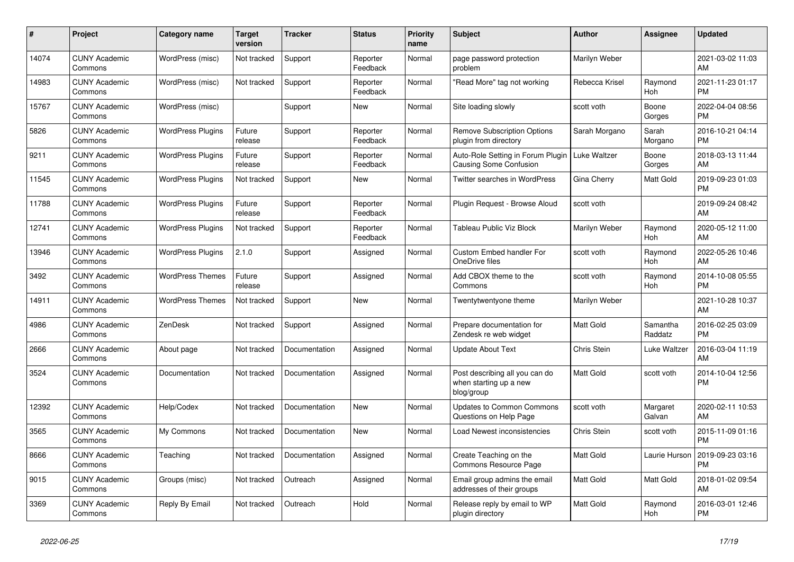| #     | Project                         | <b>Category name</b>     | Target<br>version | <b>Tracker</b> | <b>Status</b>        | <b>Priority</b><br>name | <b>Subject</b>                                                         | <b>Author</b>      | <b>Assignee</b>       | <b>Updated</b>                |
|-------|---------------------------------|--------------------------|-------------------|----------------|----------------------|-------------------------|------------------------------------------------------------------------|--------------------|-----------------------|-------------------------------|
| 14074 | <b>CUNY Academic</b><br>Commons | WordPress (misc)         | Not tracked       | Support        | Reporter<br>Feedback | Normal                  | page password protection<br>problem                                    | Marilyn Weber      |                       | 2021-03-02 11:03<br>AM        |
| 14983 | <b>CUNY Academic</b><br>Commons | WordPress (misc)         | Not tracked       | Support        | Reporter<br>Feedback | Normal                  | 'Read More" tag not working                                            | Rebecca Krisel     | Raymond<br>Hoh        | 2021-11-23 01:17<br>PM        |
| 15767 | <b>CUNY Academic</b><br>Commons | WordPress (misc)         |                   | Support        | <b>New</b>           | Normal                  | Site loading slowly                                                    | scott voth         | Boone<br>Gorges       | 2022-04-04 08:56<br><b>PM</b> |
| 5826  | <b>CUNY Academic</b><br>Commons | <b>WordPress Plugins</b> | Future<br>release | Support        | Reporter<br>Feedback | Normal                  | <b>Remove Subscription Options</b><br>plugin from directory            | Sarah Morgano      | Sarah<br>Morgano      | 2016-10-21 04:14<br><b>PM</b> |
| 9211  | <b>CUNY Academic</b><br>Commons | <b>WordPress Plugins</b> | Future<br>release | Support        | Reporter<br>Feedback | Normal                  | Auto-Role Setting in Forum Plugin<br>Causing Some Confusion            | Luke Waltzer       | Boone<br>Gorges       | 2018-03-13 11:44<br>AM        |
| 11545 | <b>CUNY Academic</b><br>Commons | <b>WordPress Plugins</b> | Not tracked       | Support        | New                  | Normal                  | Twitter searches in WordPress                                          | Gina Cherry        | Matt Gold             | 2019-09-23 01:03<br>PM        |
| 11788 | <b>CUNY Academic</b><br>Commons | <b>WordPress Plugins</b> | Future<br>release | Support        | Reporter<br>Feedback | Normal                  | Plugin Request - Browse Aloud                                          | scott voth         |                       | 2019-09-24 08:42<br>AM        |
| 12741 | <b>CUNY Academic</b><br>Commons | <b>WordPress Plugins</b> | Not tracked       | Support        | Reporter<br>Feedback | Normal                  | <b>Tableau Public Viz Block</b>                                        | Marilyn Weber      | Raymond<br><b>Hoh</b> | 2020-05-12 11:00<br>AM        |
| 13946 | <b>CUNY Academic</b><br>Commons | <b>WordPress Plugins</b> | 2.1.0             | Support        | Assigned             | Normal                  | <b>Custom Embed handler For</b><br>OneDrive files                      | scott voth         | Raymond<br>Hoh        | 2022-05-26 10:46<br>AM        |
| 3492  | <b>CUNY Academic</b><br>Commons | <b>WordPress Themes</b>  | Future<br>release | Support        | Assigned             | Normal                  | Add CBOX theme to the<br>Commons                                       | scott voth         | Raymond<br>Hoh        | 2014-10-08 05:55<br><b>PM</b> |
| 14911 | <b>CUNY Academic</b><br>Commons | <b>WordPress Themes</b>  | Not tracked       | Support        | <b>New</b>           | Normal                  | Twentytwentyone theme                                                  | Marilyn Weber      |                       | 2021-10-28 10:37<br>AM        |
| 4986  | <b>CUNY Academic</b><br>Commons | ZenDesk                  | Not tracked       | Support        | Assigned             | Normal                  | Prepare documentation for<br>Zendesk re web widget                     | Matt Gold          | Samantha<br>Raddatz   | 2016-02-25 03:09<br>PM        |
| 2666  | <b>CUNY Academic</b><br>Commons | About page               | Not tracked       | Documentation  | Assigned             | Normal                  | <b>Update About Text</b>                                               | Chris Stein        | Luke Waltzer          | 2016-03-04 11:19<br>AM        |
| 3524  | <b>CUNY Academic</b><br>Commons | Documentation            | Not tracked       | Documentation  | Assigned             | Normal                  | Post describing all you can do<br>when starting up a new<br>blog/group | Matt Gold          | scott voth            | 2014-10-04 12:56<br><b>PM</b> |
| 12392 | <b>CUNY Academic</b><br>Commons | Help/Codex               | Not tracked       | Documentation  | <b>New</b>           | Normal                  | <b>Updates to Common Commons</b><br>Questions on Help Page             | scott voth         | Margaret<br>Galvan    | 2020-02-11 10:53<br>AM        |
| 3565  | <b>CUNY Academic</b><br>Commons | My Commons               | Not tracked       | Documentation  | <b>New</b>           | Normal                  | Load Newest inconsistencies                                            | <b>Chris Stein</b> | scott voth            | 2015-11-09 01:16<br>PM        |
| 8666  | <b>CUNY Academic</b><br>Commons | Teaching                 | Not tracked       | Documentation  | Assigned             | Normal                  | Create Teaching on the<br>Commons Resource Page                        | Matt Gold          | Laurie Hurson         | 2019-09-23 03:16<br>PM        |
| 9015  | <b>CUNY Academic</b><br>Commons | Groups (misc)            | Not tracked       | Outreach       | Assigned             | Normal                  | Email group admins the email<br>addresses of their groups              | Matt Gold          | Matt Gold             | 2018-01-02 09:54<br>AM        |
| 3369  | <b>CUNY Academic</b><br>Commons | Reply By Email           | Not tracked       | Outreach       | Hold                 | Normal                  | Release reply by email to WP<br>plugin directory                       | Matt Gold          | Raymond<br>Hoh        | 2016-03-01 12:46<br><b>PM</b> |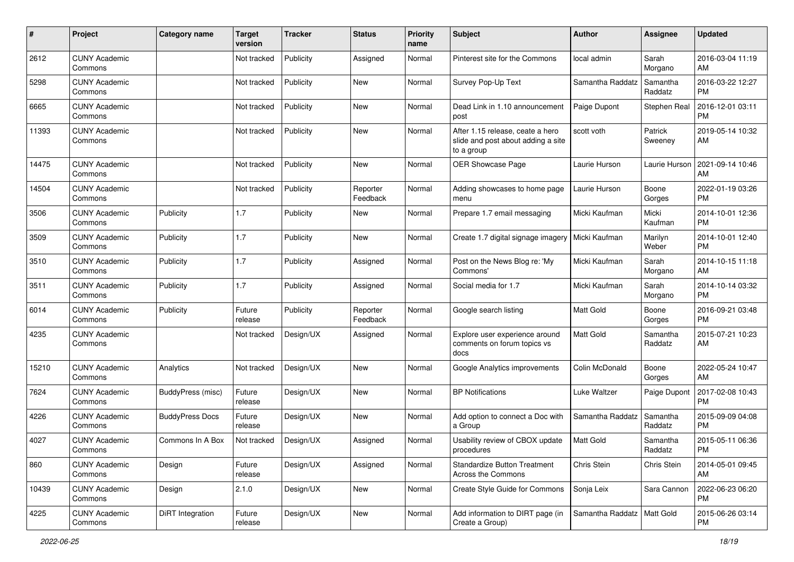| #     | Project                         | <b>Category name</b>   | <b>Target</b><br>version | <b>Tracker</b> | <b>Status</b>        | <b>Priority</b><br>name | <b>Subject</b>                                                                       | Author                       | Assignee            | <b>Updated</b>                |
|-------|---------------------------------|------------------------|--------------------------|----------------|----------------------|-------------------------|--------------------------------------------------------------------------------------|------------------------------|---------------------|-------------------------------|
| 2612  | <b>CUNY Academic</b><br>Commons |                        | Not tracked              | Publicity      | Assigned             | Normal                  | Pinterest site for the Commons                                                       | local admin                  | Sarah<br>Morgano    | 2016-03-04 11:19<br>AM        |
| 5298  | <b>CUNY Academic</b><br>Commons |                        | Not tracked              | Publicity      | New                  | Normal                  | Survey Pop-Up Text                                                                   | Samantha Raddatz             | Samantha<br>Raddatz | 2016-03-22 12:27<br><b>PM</b> |
| 6665  | <b>CUNY Academic</b><br>Commons |                        | Not tracked              | Publicity      | New                  | Normal                  | Dead Link in 1.10 announcement<br>post                                               | Paige Dupont                 | Stephen Real        | 2016-12-01 03:11<br><b>PM</b> |
| 11393 | <b>CUNY Academic</b><br>Commons |                        | Not tracked              | Publicity      | New                  | Normal                  | After 1.15 release, ceate a hero<br>slide and post about adding a site<br>to a group | scott voth                   | Patrick<br>Sweeney  | 2019-05-14 10:32<br>AM        |
| 14475 | <b>CUNY Academic</b><br>Commons |                        | Not tracked              | Publicity      | New                  | Normal                  | OER Showcase Page                                                                    | Laurie Hurson                | Laurie Hurson       | 2021-09-14 10:46<br>AM        |
| 14504 | <b>CUNY Academic</b><br>Commons |                        | Not tracked              | Publicity      | Reporter<br>Feedback | Normal                  | Adding showcases to home page<br>menu                                                | Laurie Hurson                | Boone<br>Gorges     | 2022-01-19 03:26<br><b>PM</b> |
| 3506  | <b>CUNY Academic</b><br>Commons | Publicity              | 1.7                      | Publicity      | New                  | Normal                  | Prepare 1.7 email messaging                                                          | Micki Kaufman                | Micki<br>Kaufman    | 2014-10-01 12:36<br><b>PM</b> |
| 3509  | <b>CUNY Academic</b><br>Commons | Publicity              | 1.7                      | Publicity      | New                  | Normal                  | Create 1.7 digital signage imagery                                                   | Micki Kaufman                | Marilyn<br>Weber    | 2014-10-01 12:40<br><b>PM</b> |
| 3510  | <b>CUNY Academic</b><br>Commons | Publicity              | 1.7                      | Publicity      | Assigned             | Normal                  | Post on the News Blog re: 'My<br>Commons'                                            | Micki Kaufman                | Sarah<br>Morgano    | 2014-10-15 11:18<br>AM        |
| 3511  | <b>CUNY Academic</b><br>Commons | Publicity              | 1.7                      | Publicity      | Assigned             | Normal                  | Social media for 1.7                                                                 | Micki Kaufman                | Sarah<br>Morgano    | 2014-10-14 03:32<br><b>PM</b> |
| 6014  | <b>CUNY Academic</b><br>Commons | Publicity              | Future<br>release        | Publicity      | Reporter<br>Feedback | Normal                  | Google search listing                                                                | Matt Gold                    | Boone<br>Gorges     | 2016-09-21 03:48<br><b>PM</b> |
| 4235  | <b>CUNY Academic</b><br>Commons |                        | Not tracked              | Design/UX      | Assigned             | Normal                  | Explore user experience around<br>comments on forum topics vs<br>docs                | Matt Gold                    | Samantha<br>Raddatz | 2015-07-21 10:23<br>AM        |
| 15210 | <b>CUNY Academic</b><br>Commons | Analytics              | Not tracked              | Design/UX      | New                  | Normal                  | Google Analytics improvements                                                        | Colin McDonald               | Boone<br>Gorges     | 2022-05-24 10:47<br>AM        |
| 7624  | <b>CUNY Academic</b><br>Commons | BuddyPress (misc)      | Future<br>release        | Design/UX      | New                  | Normal                  | <b>BP</b> Notifications                                                              | Luke Waltzer                 | Paige Dupont        | 2017-02-08 10:43<br><b>PM</b> |
| 4226  | <b>CUNY Academic</b><br>Commons | <b>BuddyPress Docs</b> | Future<br>release        | Design/UX      | New                  | Normal                  | Add option to connect a Doc with<br>a Group                                          | Samantha Raddatz             | Samantha<br>Raddatz | 2015-09-09 04:08<br><b>PM</b> |
| 4027  | <b>CUNY Academic</b><br>Commons | Commons In A Box       | Not tracked              | Design/UX      | Assigned             | Normal                  | Usability review of CBOX update<br>procedures                                        | Matt Gold                    | Samantha<br>Raddatz | 2015-05-11 06:36<br>PM        |
| 860   | <b>CUNY Academic</b><br>Commons | Design                 | Future<br>release        | Design/UX      | Assigned             | Normal                  | <b>Standardize Button Treatment</b><br>Across the Commons                            | Chris Stein                  | Chris Stein         | 2014-05-01 09:45<br>AM        |
| 10439 | <b>CUNY Academic</b><br>Commons | Design                 | 2.1.0                    | Design/UX      | New                  | Normal                  | Create Style Guide for Commons                                                       | Sonja Leix                   | Sara Cannon         | 2022-06-23 06:20<br>PM        |
| 4225  | <b>CUNY Academic</b><br>Commons | DiRT Integration       | Future<br>release        | Design/UX      | New                  | Normal                  | Add information to DIRT page (in<br>Create a Group)                                  | Samantha Raddatz   Matt Gold |                     | 2015-06-26 03:14<br><b>PM</b> |